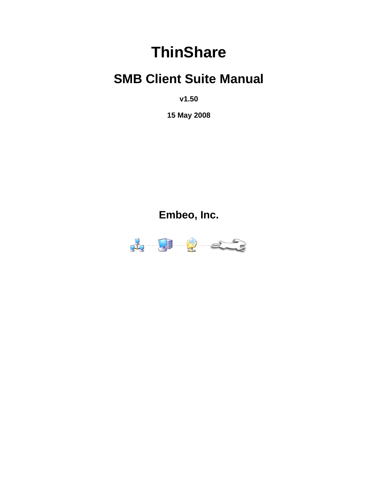# **ThinShare**

# **SMB Client Suite Manual**

**v1.50**

**15 May 2008**

**Embeo, Inc.**

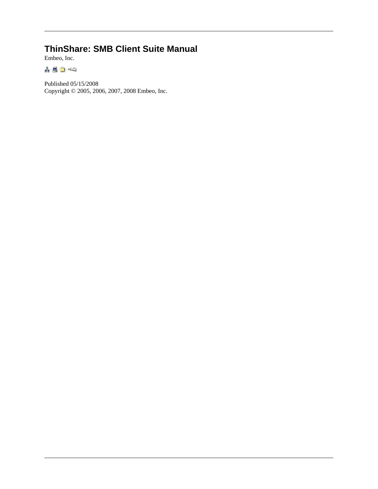#### **ThinShare: SMB Client Suite Manual**

Embeo, Inc.

190

Published 05/15/2008 Copyright © 2005, 2006, 2007, 2008 Embeo, Inc.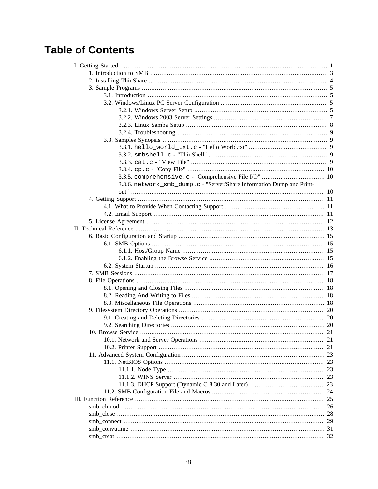# **Table of Contents**

| 3.3.6. network_smb_dump.c - "Server/Share Information Dump and Print- |          |
|-----------------------------------------------------------------------|----------|
|                                                                       |          |
|                                                                       |          |
|                                                                       |          |
|                                                                       |          |
|                                                                       |          |
|                                                                       |          |
|                                                                       |          |
|                                                                       | 15       |
|                                                                       | 15       |
|                                                                       |          |
|                                                                       | 16       |
|                                                                       | 17       |
|                                                                       | 18       |
|                                                                       | 18       |
|                                                                       | 18       |
|                                                                       |          |
|                                                                       | 20       |
|                                                                       |          |
|                                                                       |          |
|                                                                       |          |
|                                                                       |          |
|                                                                       |          |
|                                                                       |          |
|                                                                       | 23       |
|                                                                       | 23       |
|                                                                       | 23       |
|                                                                       | 23       |
|                                                                       | 24       |
|                                                                       | 25       |
|                                                                       | 26       |
|                                                                       | 28       |
|                                                                       |          |
|                                                                       | 29<br>31 |
|                                                                       |          |
|                                                                       |          |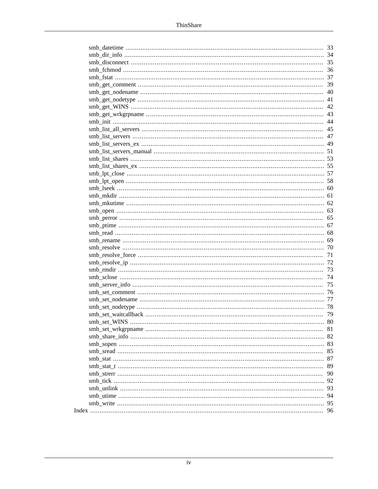|  | 33  |
|--|-----|
|  | 34  |
|  | 35  |
|  | 36  |
|  | 37  |
|  | 39  |
|  | 40  |
|  | 41  |
|  | 42  |
|  | 43  |
|  | 44  |
|  | 45  |
|  | 47  |
|  | 49  |
|  | 51  |
|  | 53  |
|  | -55 |
|  | 57  |
|  | 58  |
|  | 60  |
|  | 61  |
|  | 62  |
|  | 63  |
|  | 65  |
|  | 67  |
|  | 68  |
|  | 69  |
|  | 70  |
|  | 71  |
|  | 72  |
|  | 73  |
|  | 74  |
|  | 75  |
|  | 76  |
|  | 77  |
|  |     |
|  | 78  |
|  | 79  |
|  | 80  |
|  | 81  |
|  | 82  |
|  | 83  |
|  | 85  |
|  | 87  |
|  | 89  |
|  | 90  |
|  | 92  |
|  | 93  |
|  | 94  |
|  | 95  |
|  | 96  |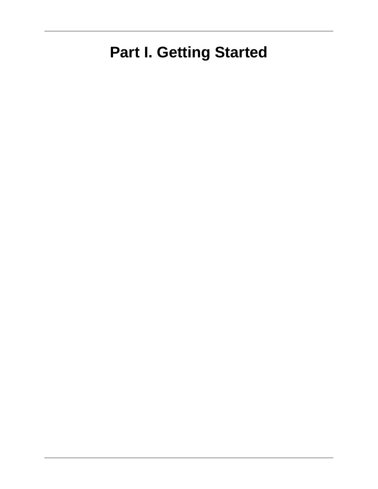# <span id="page-4-0"></span>**Part I. Getting Started**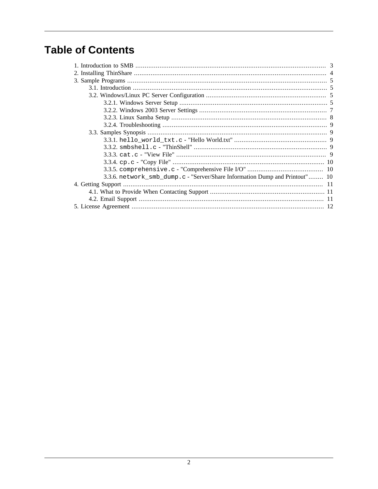# **Table of Contents**

| 3.3.6. network_smb_dump.c - "Server/Share Information Dump and Printout" 10 |  |
|-----------------------------------------------------------------------------|--|
|                                                                             |  |
|                                                                             |  |
|                                                                             |  |
|                                                                             |  |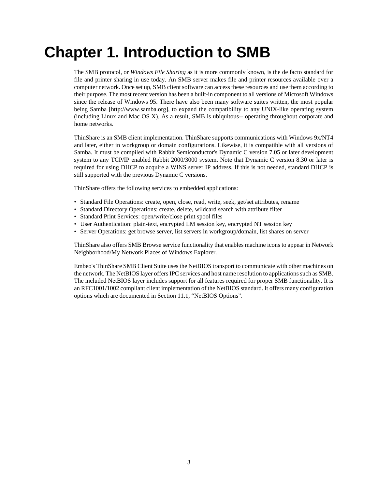# <span id="page-6-0"></span>**Chapter 1. Introduction to SMB**

The SMB protocol, or *Windows File Sharing* as it is more commonly known, is the de facto standard for file and printer sharing in use today. An SMB server makes file and printer resources available over a computer network. Once set up, SMB client software can access these resources and use them according to their purpose. The most recent version has been a built-in component to all versions of Microsoft Windows since the release of Windows 95. There have also been many software suites written, the most popular being [Samba](http://www.samba.org) [<http://www.samba.org>], to expand the compatibility to any UNIX-like operating system (including Linux and Mac OS X). As a result, SMB is ubiquitous-- operating throughout corporate and home networks.

ThinShare is an SMB client implementation. ThinShare supports communications with Windows 9x/NT4 and later, either in workgroup or domain configurations. Likewise, it is compatible with all versions of Samba. It must be compiled with Rabbit Semiconductor's Dynamic C version 7.05 or later development system to any TCP/IP enabled Rabbit 2000/3000 system. Note that Dynamic C version 8.30 or later is required for using DHCP to acquire a WINS server IP address. If this is not needed, standard DHCP is still supported with the previous Dynamic C versions.

ThinShare offers the following services to embedded applications:

- Standard File Operations: create, open, close, read, write, seek, get/set attributes, rename
- Standard Directory Operations: create, delete, wildcard search with attribute filter
- Standard Print Services: open/write/close print spool files
- User Authentication: plain-text, encrypted LM session key, encrypted NT session key
- Server Operations: get browse server, list servers in workgroup/domain, list shares on server

ThinShare also offers SMB Browse service functionality that enables machine icons to appear in Network Neighborhood/My Network Places of Windows Explorer.

Embeo's ThinShare SMB Client Suite uses the NetBIOS transport to communicate with other machines on the network. The NetBIOS layer offers IPC services and host name resolution to applications such as SMB. The included NetBIOS layer includes support for all features required for proper SMB functionality. It is an RFC1001/1002 compliant client implementation of the NetBIOS standard. It offers many configuration options which are documented in [Section 11.1, "NetBIOS Options".](#page-26-0)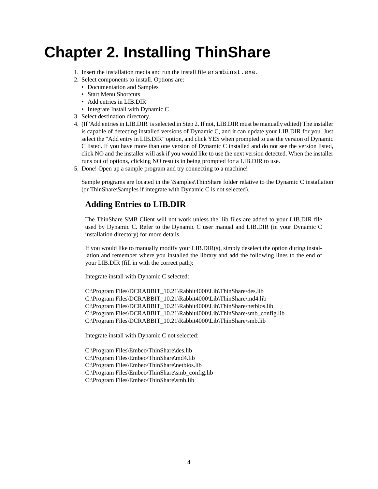# <span id="page-7-0"></span>**Chapter 2. Installing ThinShare**

- 1. Insert the installation media and run the install file ersmbinst.exe.
- 2. Select components to install. Options are:
	- Documentation and Samples
	- Start Menu Shortcuts
	- Add entries in LIB.DIR
	- Integrate Install with Dynamic C
- 3. Select destination directory.
- 4. (If 'Add entries in LIB.DIR' is selected in Step 2. If not, LIB.DIR must be manually edited) The installer is capable of detecting installed versions of Dynamic C, and it can update your LIB.DIR for you. Just select the "Add entry in LIB.DIR" option, and click YES when prompted to use the version of Dynamic C listed. If you have more than one version of Dynamic C installed and do not see the version listed, click NO and the installer will ask if you would like to use the next version detected. When the installer runs out of options, clicking NO results in being prompted for a LIB.DIR to use.
- 5. Done! Open up a sample program and try connecting to a machine!

Sample programs are located in the \Samples\ThinShare folder relative to the Dynamic C installation (or ThinShare\Samples if integrate with Dynamic C is not selected).

#### **Adding Entries to LIB.DIR**

The ThinShare SMB Client will not work unless the .lib files are added to your LIB.DIR file used by Dynamic C. Refer to the Dynamic C user manual and LIB.DIR (in your Dynamic C installation directory) for more details.

If you would like to manually modify your LIB.DIR(s), simply deselect the option during installation and remember where you installed the library and add the following lines to the end of your LIB.DIR (fill in with the correct path):

Integrate install with Dynamic C selected:

C:\Program Files\DCRABBIT\_10.21\Rabbit4000\Lib\ThinShare\des.lib C:\Program Files\DCRABBIT\_10.21\Rabbit4000\Lib\ThinShare\md4.lib C:\Program Files\DCRABBIT\_10.21\Rabbit4000\Lib\ThinShare\netbios.lib C:\Program Files\DCRABBIT\_10.21\Rabbit4000\Lib\ThinShare\smb\_config.lib C:\Program Files\DCRABBIT\_10.21\Rabbit4000\Lib\ThinShare\smb.lib

Integrate install with Dynamic C not selected:

C:\Program Files\Embeo\ThinShare\des.lib C:\Program Files\Embeo\ThinShare\md4.lib C:\Program Files\Embeo\ThinShare\netbios.lib C:\Program Files\Embeo\ThinShare\smb\_config.lib C:\Program Files\Embeo\ThinShare\smb.lib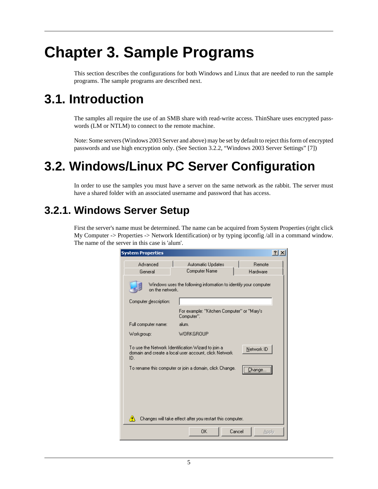# <span id="page-8-0"></span>**Chapter 3. Sample Programs**

This section describes the configurations for both Windows and Linux that are needed to run the sample programs. The sample programs are described next.

# **3.1. Introduction**

The samples all require the use of an SMB share with read-write access. ThinShare uses encrypted passwords (LM or NTLM) to connect to the remote machine.

Note: Some servers (Windows 2003 Server and above) may be set by default to reject this form of encrypted passwords and use high encryption only. (See [Section 3.2.2, "Windows 2003 Server Settings" \[7\]](#page-10-0))

# **3.2. Windows/Linux PC Server Configuration**

In order to use the samples you must have a server on the same network as the rabbit. The server must have a shared folder with an associated username and password that has access.

#### **3.2.1. Windows Server Setup**

First the server's name must be determined. The name can be acquired from System Properties (right click My Computer -> Properties -> Network Identification) or by typing ipconfig /all in a command window. The name of the server in this case is 'alum'.

| <b>System Properties</b>                                                                                                                                                                                                                                                  |                                                          | $?$ $\times$    |  |  |
|---------------------------------------------------------------------------------------------------------------------------------------------------------------------------------------------------------------------------------------------------------------------------|----------------------------------------------------------|-----------------|--|--|
| Advanced                                                                                                                                                                                                                                                                  | <b>Automatic Updates</b>                                 | <b>Bemote</b>   |  |  |
| General                                                                                                                                                                                                                                                                   | Computer Name                                            | Hardware        |  |  |
| Windows uses the following information to identify your computer<br>on the network.                                                                                                                                                                                       |                                                          |                 |  |  |
| Computer description:                                                                                                                                                                                                                                                     |                                                          |                 |  |  |
|                                                                                                                                                                                                                                                                           | For example: "Kitchen Computer" or "Mary's<br>Computer". |                 |  |  |
| Full computer name:                                                                                                                                                                                                                                                       | alum.                                                    |                 |  |  |
| <b>WORKGROUP</b><br>Workgroup:                                                                                                                                                                                                                                            |                                                          |                 |  |  |
| To use the Network Identification Wizard to join a<br>Network ID<br>domain and create a local user account, click Network.<br>ID.<br>To rename this computer or join a domain, click Change.<br>:hange<br>Changes will take effect after you restart this computer.<br>W, |                                                          |                 |  |  |
|                                                                                                                                                                                                                                                                           |                                                          |                 |  |  |
|                                                                                                                                                                                                                                                                           | ОK                                                       | Cancel<br>Apply |  |  |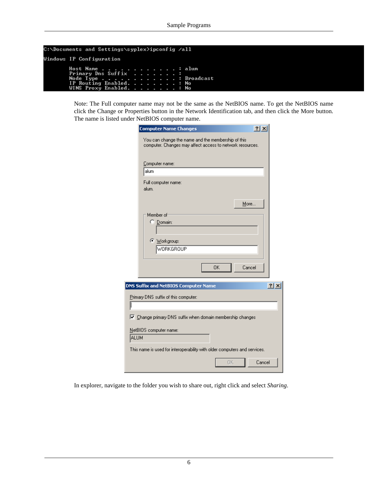```
C:\Documents and Settings\syplex>ipconfig /all
Windows IP Configuration
             Host Name<br>Primary Dns Suffix<br>Node Type<br>IP Routing Enabled<br>UIMC Bouting Enabled
                                                                           alum
                                                                           Broadcast
                                                                        E
                                                                           No
              WINS Proxy
                                Enabled
                                                                           N<sub>o</sub>
                                                                        ٠
```
Note: The Full computer name may not be the same as the NetBIOS name. To get the NetBIOS name click the Change or Properties button in the Network Identification tab, and then click the More button. The name is listed under NetBIOS computer name.

|      | <b>Computer Name Changes</b>                                                                                    | 2x     |
|------|-----------------------------------------------------------------------------------------------------------------|--------|
|      | You can change the name and the membership of this<br>computer. Changes may affect access to network resources. |        |
|      | Computer name:                                                                                                  |        |
|      | alum                                                                                                            |        |
|      | Full computer name:<br>alum.                                                                                    |        |
|      | More                                                                                                            |        |
|      | Member of<br>C Domain:<br>© Workgroup:                                                                          |        |
|      | <b>WORKGROUP</b>                                                                                                |        |
|      | 0K<br>Cancel                                                                                                    |        |
|      | DNS Suffix and NetBIOS Computer Name                                                                            | ? x    |
|      | Primary DNS suffix of this computer:                                                                            |        |
|      | $\triangledown$ Change primary DNS suffix when domain membership changes                                        |        |
| ALUM | NetBIOS computer name:                                                                                          |        |
|      | This name is used for interoperability with older computers and services.                                       |        |
|      | 0K                                                                                                              | Cancel |

In explorer, navigate to the folder you wish to share out, right click and select *Sharing*.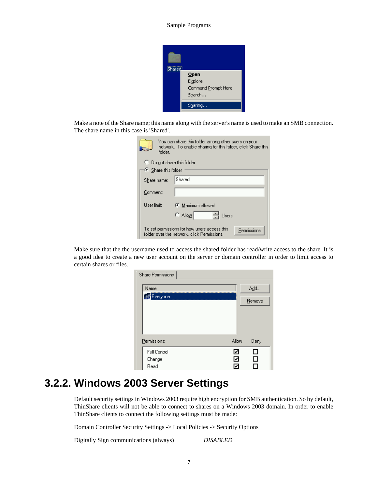

<span id="page-10-0"></span>Make a note of the Share name; this name along with the server's name is used to make an SMB connection. The share name in this case is 'Shared'.

| You can share this folder among other users on your<br>network. To enable sharing for this folder, click Share this<br>folder. |                                     |  |  |  |  |
|--------------------------------------------------------------------------------------------------------------------------------|-------------------------------------|--|--|--|--|
|                                                                                                                                | $\bigcirc$ Do not share this folder |  |  |  |  |
| $\bullet$ Share this folder                                                                                                    |                                     |  |  |  |  |
| Share name:                                                                                                                    | Shared                              |  |  |  |  |
| Comment:                                                                                                                       |                                     |  |  |  |  |
| User limit:                                                                                                                    | Maximum allowed                     |  |  |  |  |
|                                                                                                                                | $\circ$ Allow<br>Users              |  |  |  |  |
| To set permissions for how users access this<br>Permissions<br>folder over the network, click Permissions.                     |                                     |  |  |  |  |

Make sure that the the username used to access the shared folder has read/write access to the share. It is a good idea to create a new user account on the server or domain controller in order to limit access to certain shares or files.

| Share Permissions   |       |        |
|---------------------|-------|--------|
| Name<br>Everyone    |       | Add    |
|                     |       | Remove |
|                     |       |        |
| Permissions:        | Allow | Deny   |
| <b>Full Control</b> | ₹     | ப      |
| Change              | ₹     | П      |
| Read                | ۸     |        |

#### **3.2.2. Windows 2003 Server Settings**

Default security settings in Windows 2003 require high encryption for SMB authentication. So by default, ThinShare clients will not be able to connect to shares on a Windows 2003 domain. In order to enable ThinShare clients to connect the following settings must be made:

Domain Controller Security Settings -> Local Policies -> Security Options

Digitally Sign communications (always) *DISABLED*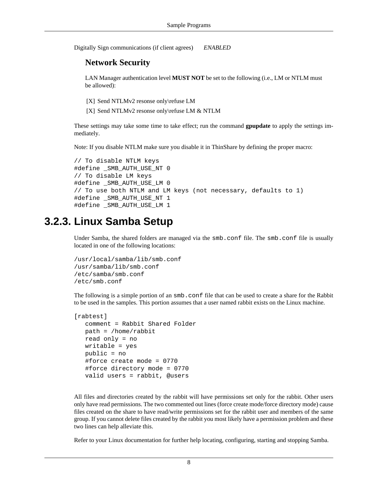<span id="page-11-0"></span>Digitally Sign communications (if client agrees) *ENABLED*

#### **Network Security**

LAN Manager authentication level **MUST NOT** be set to the following (i.e., LM or NTLM must be allowed):

[X] Send NTLMv2 resonse only\refuse LM

[X] Send NTLMv2 resonse only\refuse LM & NTLM

These settings may take some time to take effect; run the command **gpupdate** to apply the settings immediately.

Note: If you disable NTLM make sure you disable it in ThinShare by defining the proper macro:

```
// To disable NTLM keys
#define _SMB_AUTH_USE_NT 0
// To disable LM keys
#define _SMB_AUTH_USE_LM 0
// To use both NTLM and LM keys (not necessary, defaults to 1)
#define _SMB_AUTH_USE_NT 1
#define _SMB_AUTH_USE_LM 1
```
### **3.2.3. Linux Samba Setup**

Under Samba, the shared folders are managed via the smb.conf file. The smb.conf file is usually located in one of the following locations:

```
/usr/local/samba/lib/smb.conf
/usr/samba/lib/smb.conf
/etc/samba/smb.conf
/etc/smb.conf
```
The following is a simple portion of an  $smb$ .conf file that can be used to create a share for the Rabbit to be used in the samples. This portion assumes that a user named rabbit exists on the Linux machine.

```
[rabtest]
    comment = Rabbit Shared Folder
   path = /home/rabbit
    read only = no
   writable = yes
   public = no
    #force create mode = 0770
    #force directory mode = 0770
    valid users = rabbit, @users
```
All files and directories created by the rabbit will have permissions set only for the rabbit. Other users only have read permissions. The two commented out lines (force create mode/force directory mode) cause files created on the share to have read/write permissions set for the rabbit user and members of the same group. If you cannot delete files created by the rabbit you most likely have a permission problem and these two lines can help alleviate this.

Refer to your Linux documentation for further help locating, configuring, starting and stopping Samba.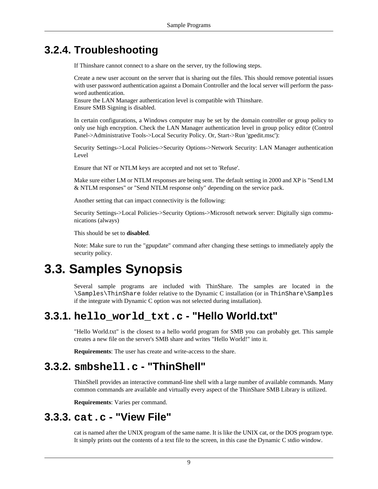### <span id="page-12-0"></span>**3.2.4. Troubleshooting**

If Thinshare cannot connect to a share on the server, try the following steps.

Create a new user account on the server that is sharing out the files. This should remove potential issues with user password authentication against a Domain Controller and the local server will perform the password authentication.

Ensure the LAN Manager authentication level is compatible with Thinshare. Ensure SMB Signing is disabled.

In certain configurations, a Windows computer may be set by the domain controller or group policy to only use high encryption. Check the LAN Manager authentication level in group policy editor (Control Panel->Administrative Tools->Local Security Policy. Or, Start->Run 'gpedit.msc'):

Security Settings->Local Policies->Security Options->Network Security: LAN Manager authentication Level

Ensure that NT or NTLM keys are accepted and not set to 'Refuse'.

Make sure either LM or NTLM responses are being sent. The default setting in 2000 and XP is "Send LM & NTLM responses" or "Send NTLM response only" depending on the service pack.

Another setting that can impact connectivity is the following:

Security Settings->Local Policies->Security Options->Microsoft network server: Digitally sign communications (always)

This should be set to **disabled**.

Note: Make sure to run the "gpupdate" command after changing these settings to immediately apply the security policy.

# **3.3. Samples Synopsis**

Several sample programs are included with ThinShare. The samples are located in the \Samples\ThinShare folder relative to the Dynamic C installation (or in ThinShare\Samples if the integrate with Dynamic C option was not selected during installation).

#### **3.3.1. hello\_world\_txt.c - "Hello World.txt"**

"Hello World.txt" is the closest to a hello world program for SMB you can probably get. This sample creates a new file on the server's SMB share and writes "Hello World!" into it.

**Requirements**: The user has create and write-access to the share.

#### **3.3.2. smbshell.c - "ThinShell"**

ThinShell provides an interactive command-line shell with a large number of available commands. Many common commands are available and virtually every aspect of the ThinShare SMB Library is utilized.

**Requirements**: Varies per command.

#### **3.3.3. cat.c - "View File"**

cat is named after the UNIX program of the same name. It is like the UNIX cat, or the DOS program type. It simply prints out the contents of a text file to the screen, in this case the Dynamic C stdio window.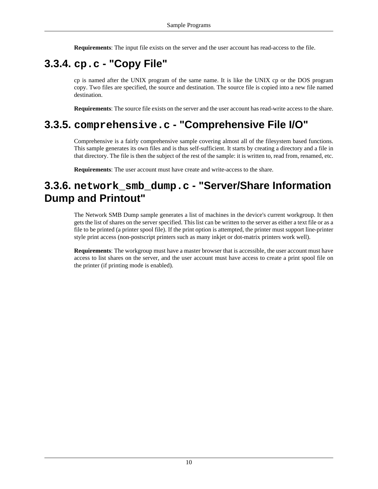**Requirements**: The input file exists on the server and the user account has read-access to the file.

## <span id="page-13-0"></span>**3.3.4. cp.c - "Copy File"**

cp is named after the UNIX program of the same name. It is like the UNIX cp or the DOS program copy. Two files are specified, the source and destination. The source file is copied into a new file named destination.

**Requirements**: The source file exists on the server and the user account has read-write access to the share.

### **3.3.5. comprehensive.c - "Comprehensive File I/O"**

Comprehensive is a fairly comprehensive sample covering almost all of the filesystem based functions. This sample generates its own files and is thus self-sufficient. It starts by creating a directory and a file in that directory. The file is then the subject of the rest of the sample: it is written to, read from, renamed, etc.

**Requirements**: The user account must have create and write-access to the share.

### **3.3.6. network\_smb\_dump.c - "Server/Share Information Dump and Printout"**

The Network SMB Dump sample generates a list of machines in the device's current workgroup. It then gets the list of shares on the server specified. This list can be written to the server as either a text file or as a file to be printed (a printer spool file). If the print option is attempted, the printer must support line-printer style print access (non-postscript printers such as many inkjet or dot-matrix printers work well).

**Requirements**: The workgroup must have a master browser that is accessible, the user account must have access to list shares on the server, and the user account must have access to create a print spool file on the printer (if printing mode is enabled).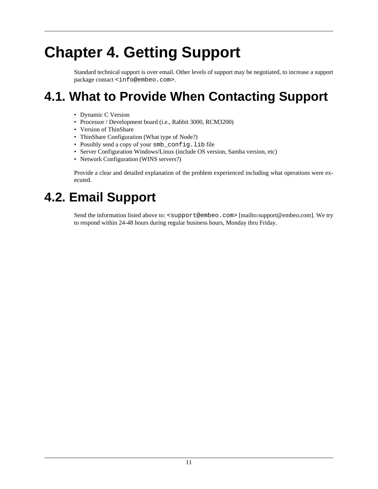# <span id="page-14-0"></span>**Chapter 4. Getting Support**

Standard technical support is over email. Other levels of support may be negotiated, to increase a support package contact [<info@embeo.com>](info@embeo.com).

# **4.1. What to Provide When Contacting Support**

- Dynamic C Version
- Processor / Development board (i.e., Rabbit 3000, RCM3200)
- Version of ThinShare
- ThinShare Configuration (What type of Node?)
- Possibly send a copy of your smb\_config.lib file
- Server Configuration Windows/Linux (include OS version, Samba version, etc)
- Network Configuration (WINS servers?)

Provide a clear and detailed explanation of the problem experienced including what operations were executed.

# **4.2. Email Support**

Send the information listed above to: [<support@embeo.com>](mailto:support@embeo.com) [\[mailto:support@embeo.com](mailto:support@embeo.com)]. We try to respond within 24-48 hours during regular business hours, Monday thru Friday.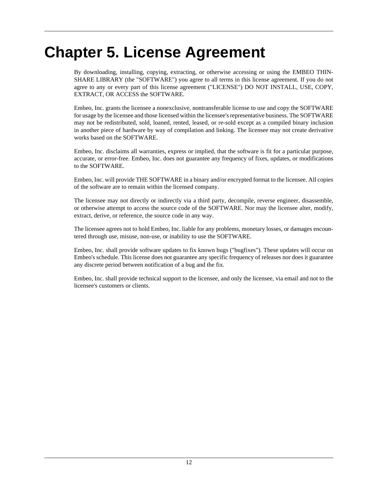# <span id="page-15-0"></span>**Chapter 5. License Agreement**

By downloading, installing, copying, extracting, or otherwise accessing or using the EMBEO THIN-SHARE LIBRARY (the "SOFTWARE") you agree to all terms in this license agreement. If you do not agree to any or every part of this license agreement ("LICENSE") DO NOT INSTALL, USE, COPY, EXTRACT, OR ACCESS the SOFTWARE.

Embeo, Inc. grants the licensee a nonexclusive, nontransferable license to use and copy the SOFTWARE for usage by the licensee and those licensed within the licensee's representative business. The SOFTWARE may not be redistributed, sold, loaned, rented, leased, or re-sold except as a compiled binary inclusion in another piece of hardware by way of compilation and linking. The licensee may not create derivative works based on the SOFTWARE.

Embeo, Inc. disclaims all warranties, express or implied, that the software is fit for a particular purpose, accurate, or error-free. Embeo, Inc. does not guarantee any frequency of fixes, updates, or modifications to the SOFTWARE.

Embeo, Inc. will provide THE SOFTWARE in a binary and/or encrypted format to the licensee. All copies of the software are to remain within the licensed company.

The licensee may not directly or indirectly via a third party, decompile, reverse engineer, disassemble, or otherwise attempt to access the source code of the SOFTWARE. Nor may the licensee alter, modify, extract, derive, or reference, the source code in any way.

The licensee agrees not to hold Embeo, Inc. liable for any problems, monetary losses, or damages encountered through use, misuse, non-use, or inability to use the SOFTWARE.

Embeo, Inc. shall provide software updates to fix known bugs ("bugfixes"). These updates will occur on Embeo's schedule. This license does not guarantee any specific frequency of releases nor does it guarantee any discrete period between notification of a bug and the fix.

Embeo, Inc. shall provide technical support to the licensee, and only the licensee, via email and not to the licensee's customers or clients.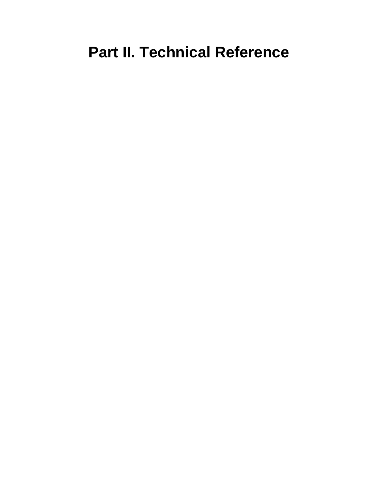# <span id="page-16-0"></span>**Part II. Technical Reference**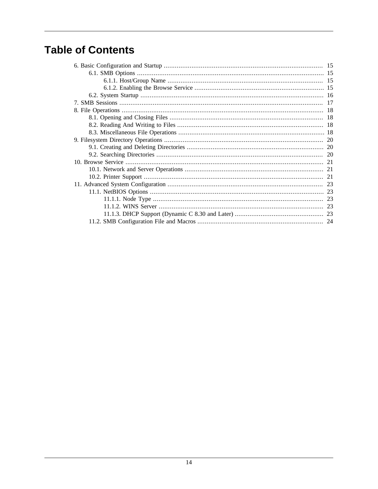# **Table of Contents**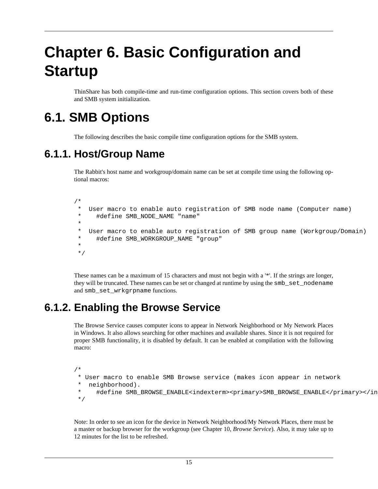# <span id="page-18-0"></span>**Chapter 6. Basic Configuration and Startup**

ThinShare has both compile-time and run-time configuration options. This section covers both of these and SMB system initialization.

# **6.1. SMB Options**

The following describes the basic compile time configuration options for the SMB system.

### **6.1.1. Host/Group Name**

The Rabbit's host name and workgroup/domain name can be set at compile time using the following optional macros:

/\* User macro to enable auto registration of SMB node name (Computer name) \* #define SMB\_NODE\_NAME "name" \* \* User macro to enable auto registration of SMB group name (Workgroup/Domain) \* #define SMB\_WORKGROUP\_NAME "group" \* \*/

These names can be a maximum of 15 characters and must not begin with a '\*'. If the strings are longer, they will be truncated. These names can be set or changed at runtime by using the  $smb$ <sub>r</sub> set nodename and smb\_set\_wrkgrpname functions.

### **6.1.2. Enabling the Browse Service**

The Browse Service causes computer icons to appear in Network Neighborhood or My Network Places in Windows. It also allows searching for other machines and available shares. Since it is not required for proper SMB functionality, it is disabled by default. It can be enabled at compilation with the following macro:

```
/*
  * User macro to enable SMB Browse service (makes icon appear in network
   neighborhood).
```
 \* #define SMB\_BROWSE\_ENABLE<indexterm><primary>SMB\_BROWSE\_ENABLE</primary></indexterm> \*/

Note: In order to see an icon for the device in Network Neighborhood/My Network Places, there must be a master or backup browser for the workgroup (see Chapter 10, *[Browse Service](#page-24-0)*). Also, it may take up to 12 minutes for the list to be refreshed.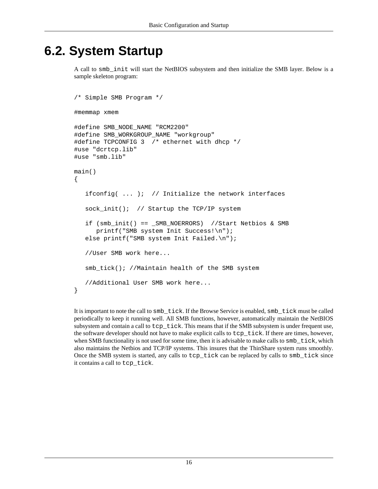# <span id="page-19-0"></span>**6.2. System Startup**

A call to smb\_init will start the NetBIOS subsystem and then initialize the SMB layer. Below is a sample skeleton program:

```
/* Simple SMB Program */
#memmap xmem
#define SMB_NODE_NAME "RCM2200"
#define SMB_WORKGROUP_NAME "workgroup"
#define TCPCONFIG 3 /* ethernet with dhcp */
#use "dcrtcp.lib"
#use "smb.lib"
main()
{
   ifconfig( \dots ); // Initialize the network interfaces
    sock_init(); // Startup the TCP/IP system
    if (smb_init() == _SMB_NOERRORS) //Start Netbios & SMB
       printf("SMB system Init Success!\n");
   else printf("SMB system Init Failed.\n");
    //User SMB work here...
    smb_tick(); //Maintain health of the SMB system
    //Additional User SMB work here...
}
```
It is important to note the call to smb\_tick. If the Browse Service is enabled, smb\_tick must be called periodically to keep it running well. All SMB functions, however, automatically maintain the NetBIOS subsystem and contain a call to tcp\_tick. This means that if the SMB subsystem is under frequent use, the software developer should not have to make explicit calls to tcp\_tick. If there are times, however, when SMB functionality is not used for some time, then it is advisable to make calls to  $\sinh$  tick, which also maintains the Netbios and TCP/IP systems. This insures that the ThinShare system runs smoothly. Once the SMB system is started, any calls to tcp\_tick can be replaced by calls to smb\_tick since it contains a call to tcp\_tick.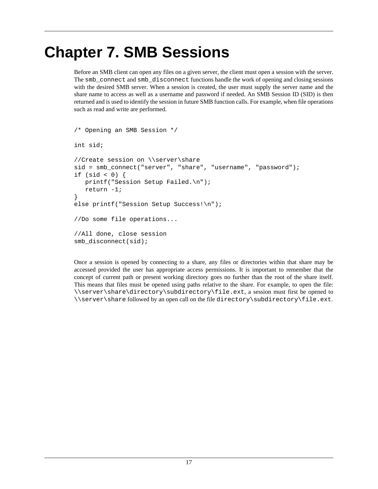# <span id="page-20-0"></span>**Chapter 7. SMB Sessions**

Before an SMB client can open any files on a given server, the client must open a session with the server. The smb\_connect and smb\_disconnect functions handle the work of opening and closing sessions with the desired SMB server. When a session is created, the user must supply the server name and the share name to access as well as a username and password if needed. An SMB Session ID (SID) is then returned and is used to identify the session in future SMB function calls. For example, when file operations such as read and write are performed.

```
/* Opening an SMB Session */
int sid;
//Create session on \\server\share
sid = smb_connect("server", "share", "username", "password");
if (sid < 0) {
   printf("Session Setup Failed.\n");
   return -1;
}
else printf("Session Setup Success!\n");
//Do some file operations...
//All done, close session
smb_disconnect(sid);
```
Once a session is opened by connecting to a share, any files or directories within that share may be accessed provided the user has appropriate access permissions. It is important to remember that the concept of current path or present working directory goes no further than the root of the share itself. This means that files must be opened using paths relative to the share. For example, to open the file: \\server\share\directory\subdirectory\file.ext, a session must first be opened to  $\backslash$  server \share followed by an open call on the file directory\subdirectory\file.ext.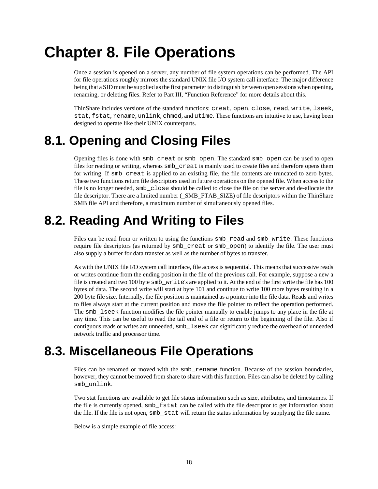# <span id="page-21-0"></span>**Chapter 8. File Operations**

Once a session is opened on a server, any number of file system operations can be performed. The API for file operations roughly mirrors the standard UNIX file I/O system call interface. The major difference being that a SID must be supplied as the first parameter to distinguish between open sessions when opening, renaming, or deleting files. Refer to [Part III, "Function Reference"](#page-28-0) for more details about this.

ThinShare includes versions of the standard functions: creat, open, close, read, write, lseek, stat, fstat, rename, unlink, chmod, and utime. These functions are intuitive to use, having been designed to operate like their UNIX counterparts.

# **8.1. Opening and Closing Files**

Opening files is done with smb\_creat or smb\_open. The standard smb\_open can be used to open files for reading or writing, whereas smb\_creat is mainly used to create files and therefore opens them for writing. If smb\_creat is applied to an existing file, the file contents are truncated to zero bytes. These two functions return file descriptors used in future operations on the opened file. When access to the file is no longer needed, smb\_close should be called to close the file on the server and de-allocate the file descriptor. There are a limited number (\_SMB\_FTAB\_SIZE) of file descriptors within the ThinShare SMB file API and therefore, a maximum number of simultaneously opened files.

# **8.2. Reading And Writing to Files**

Files can be read from or written to using the functions  $smb$ <sub>read and smb</sub><sub>write</sub>. These functions require file descriptors (as returned by smb\_creat or smb\_open) to identify the file. The user must also supply a buffer for data transfer as well as the number of bytes to transfer.

As with the UNIX file I/O system call interface, file access is sequential. This means that successive reads or writes continue from the ending position in the file of the previous call. For example, suppose a new a file is created and two 100 byte smb\_write's are applied to it. At the end of the first write the file has 100 bytes of data. The second write will start at byte 101 and continue to write 100 more bytes resulting in a 200 byte file size. Internally, the file position is maintained as a pointer into the file data. Reads and writes to files always start at the current position and move the file pointer to reflect the operation performed. The smb\_lseek function modifies the file pointer manually to enable jumps to any place in the file at any time. This can be useful to read the tail end of a file or return to the beginning of the file. Also if contiguous reads or writes are unneeded, smb\_lseek can significantly reduce the overhead of unneeded network traffic and processor time.

# **8.3. Miscellaneous File Operations**

Files can be renamed or moved with the  $smb$ <sub>rename</sub> function. Because of the session boundaries, however, they cannot be moved from share to share with this function. Files can also be deleted by calling smb\_unlink.

Two stat functions are available to get file status information such as size, attributes, and timestamps. If the file is currently opened, smb\_fstat can be called with the file descriptor to get information about the file. If the file is not open, smb\_stat will return the status information by supplying the file name.

Below is a simple example of file access: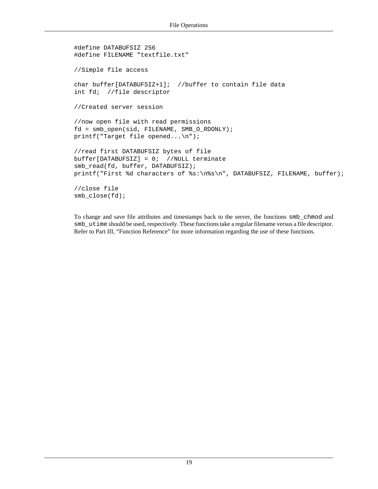```
#define DATABUFSIZ 256
#define FILENAME "textfile.txt"
//Simple file access
char buffer[DATABUFSIZ+1]; //buffer to contain file data
int fd; //file descriptor
//Created server session
//now open file with read permissions
fd = smb_open(sid, FILENAME, SMB_O_RDONLY);
printf("Target file opened...\n");
//read first DATABUFSIZ bytes of file
buffer[DATABUFSIZ] = 0; //NULL terminate
smb_read(fd, buffer, DATABUFSIZ);
printf("First %d characters of %s:\n%s\n", DATABUFSIZ, FILENAME, buffer);
//close file
smb_close(fd);
```
To change and save file attributes and timestamps back to the server, the functions smb\_chmod and smb\_utime should be used, respectively. These functions take a regular filename versus a file descriptor. Refer to [Part III, "Function Reference"](#page-28-0) for more information regarding the use of these functions.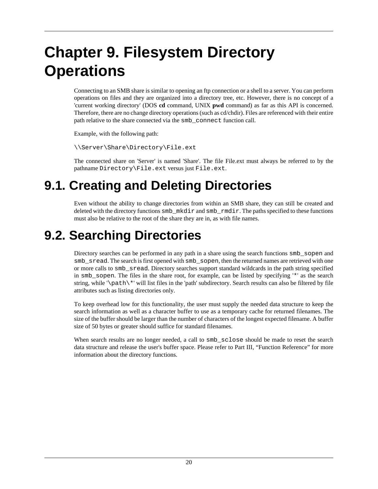# <span id="page-23-0"></span>**Chapter 9. Filesystem Directory Operations**

Connecting to an SMB share is similar to opening an ftp connection or a shell to a server. You can perform operations on files and they are organized into a directory tree, etc. However, there is no concept of a 'current working directory' (DOS **cd** command, UNIX **pwd** command) as far as this API is concerned. Therefore, there are no change directory operations (such as cd/chdir). Files are referenced with their entire path relative to the share connected via the smb\_connect function call.

Example, with the following path:

\\Server\Share\Directory\File.ext

The connected share on 'Server' is named 'Share'. The file File.ext must always be referred to by the pathname Directory\File.ext versus just File.ext.

# **9.1. Creating and Deleting Directories**

Even without the ability to change directories from within an SMB share, they can still be created and deleted with the directory functions smb\_mkdir and smb\_rmdir. The paths specified to these functions must also be relative to the root of the share they are in, as with file names.

# **9.2. Searching Directories**

Directory searches can be performed in any path in a share using the search functions smb\_sopen and smb\_sread. The search is first opened with smb\_sopen, then the returned names are retrieved with one or more calls to smb\_sread. Directory searches support standard wildcards in the path string specified in smb\_sopen. The files in the share root, for example, can be listed by specifying '\*' as the search string, while '\path\\*' will list files in the 'path' subdirectory. Search results can also be filtered by file attributes such as listing directories only.

To keep overhead low for this functionality, the user must supply the needed data structure to keep the search information as well as a character buffer to use as a temporary cache for returned filenames. The size of the buffer should be larger than the number of characters of the longest expected filename. A buffer size of 50 bytes or greater should suffice for standard filenames.

When search results are no longer needed, a call to  $smb$ <sub>sclose</sub> should be made to reset the search data structure and release the user's buffer space. Please refer to [Part III, "Function Reference"](#page-28-0) for more information about the directory functions.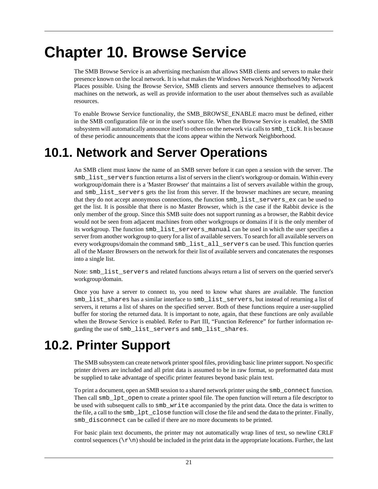# <span id="page-24-0"></span>**Chapter 10. Browse Service**

The SMB Browse Service is an advertising mechanism that allows SMB clients and servers to make their presence known on the local network. It is what makes the Windows Network Neighborhood/My Network Places possible. Using the Browse Service, SMB clients and servers announce themselves to adjacent machines on the network, as well as provide information to the user about themselves such as available resources.

To enable Browse Service functionality, the SMB\_BROWSE\_ENABLE macro must be defined, either in the SMB configuration file or in the user's source file. When the Browse Service is enabled, the SMB subsystem will automatically announce itself to others on the network via calls to  $smb$  \_tick. It is because of these periodic announcements that the icons appear within the Network Neighborhood.

# **10.1. Network and Server Operations**

An SMB client must know the name of an SMB server before it can open a session with the server. The smb list servers function returns a list of servers in the client's workgroup or domain. Within every workgroup/domain there is a 'Master Browser' that maintains a list of servers available within the group, and smb list servers gets the list from this server. If the browser machines are secure, meaning that they do not accept anonymous connections, the function smb\_list\_servers\_ex can be used to get the list. It is possible that there is no Master Browser, which is the case if the Rabbit device is the only member of the group. Since this SMB suite does not support running as a browser, the Rabbit device would not be seen from adjacent machines from other workgroups or domains if it is the only member of its workgroup. The function smb\_list\_servers\_manual can be used in which the user specifies a server from another workgroup to query for a list of available servers. To search for all available servers on every workgroups/domain the command smb\_list\_all\_servers can be used. This function queries all of the Master Browsers on the network for their list of available servers and concatenates the responses into a single list.

Note: smb\_list\_servers and related functions always return a list of servers on the queried server's workgroup/domain.

Once you have a server to connect to, you need to know what shares are available. The function smb list shares has a similar interface to smb list servers, but instead of returning a list of servers, it returns a list of shares on the specified server. Both of these functions require a user-supplied buffer for storing the returned data. It is important to note, again, that these functions are only available when the Browse Service is enabled. Refer to [Part III, "Function Reference"](#page-28-0) for further information regarding the use of smb\_list\_servers and smb\_list\_shares.

# **10.2. Printer Support**

The SMB subsystem can create network printer spool files, providing basic line printer support. No specific printer drivers are included and all print data is assumed to be in raw format, so preformatted data must be supplied to take advantage of specific printer features beyond basic plain text.

To print a document, open an SMB session to a shared network printer using the smb\_connect function. Then call smb\_lpt\_open to create a printer spool file. The open function will return a file descriptor to be used with subsequent calls to  $smb_$ write accompanied by the print data. Once the data is written to the file, a call to the smb\_lpt\_close function will close the file and send the data to the printer. Finally, smb\_disconnect can be called if there are no more documents to be printed.

For basic plain text documents, the printer may not automatically wrap lines of text, so newline CRLF control sequences  $(\r\cdot\mathbf{n})$  should be included in the print data in the appropriate locations. Further, the last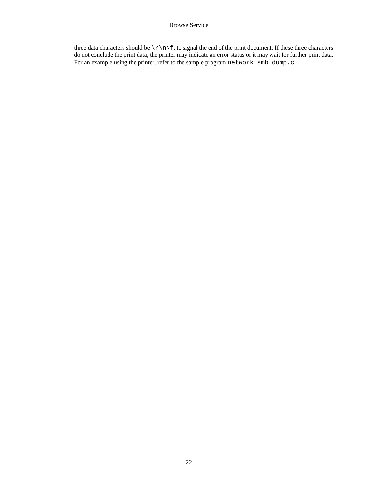three data characters should be  $\r \n\cdot f$ , to signal the end of the print document. If these three characters do not conclude the print data, the printer may indicate an error status or it may wait for further print data. For an example using the printer, refer to the sample program network\_smb\_dump.c.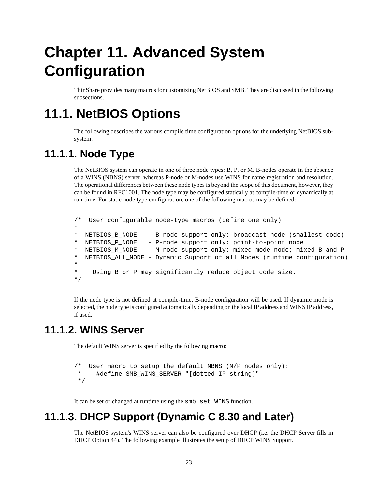# <span id="page-26-0"></span>**Chapter 11. Advanced System Configuration**

ThinShare provides many macros for customizing NetBIOS and SMB. They are discussed in the following subsections.

# **11.1. NetBIOS Options**

The following describes the various compile time configuration options for the underlying NetBIOS subsystem.

## **11.1.1. Node Type**

The NetBIOS system can operate in one of three node types: B, P, or M. B-nodes operate in the absence of a WINS (NBNS) server, whereas P-node or M-nodes use WINS for name registration and resolution. The operational differences between these node types is beyond the scope of this document, however, they can be found in RFC1001. The node type may be configured statically at compile-time or dynamically at run-time. For static node type configuration, one of the following macros may be defined:

```
/* User configurable node-type macros (define one only)
*
  NETBIOS_B_NODE - B-node support only: broadcast node (smallest code)
 NETBIOS_P_NODE - P-node support only: point-to-point node
  NETBIOS_M_NODE - M-node support only: mixed-mode node; mixed B and P
* NETBIOS_ALL_NODE - Dynamic Support of all Nodes (runtime configuration)
*
* Using B or P may significantly reduce object code size.
*/
```
If the node type is not defined at compile-time, B-node configuration will be used. If dynamic mode is selected, the node type is configured automatically depending on the local IP address and WINS IP address, if used.

### **11.1.2. WINS Server**

The default WINS server is specified by the following macro:

```
/* User macro to setup the default NBNS (M/P nodes only):
      #define SMB_WINS_SERVER "[dotted IP string]"
 */
```
It can be set or changed at runtime using the smb\_set\_WINS function.

### **11.1.3. DHCP Support (Dynamic C 8.30 and Later)**

The NetBIOS system's WINS server can also be configured over DHCP (i.e. the DHCP Server fills in DHCP Option 44). The following example illustrates the setup of DHCP WINS Support.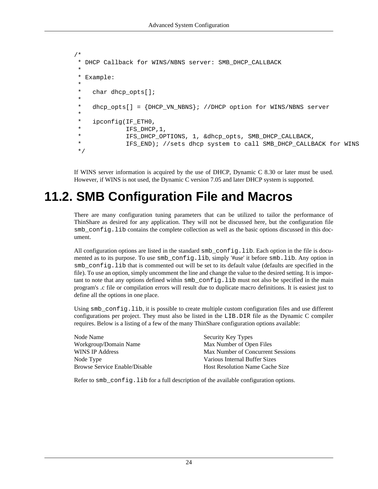```
/*
  DHCP Callback for WINS/NBNS server: SMB DHCP CALLBACK
 *
 * Example:
 *
 * char dhcp_opts[];
 *
     dhcp_opts[] = {DHCP_WN_NBN}; //DHCP option for WINS/NBNS server
 *
 * ipconfig(IF_ETH0,
* IFS_DHCP,1,<br>* TES_DHCP_OP
              IFS DHCP OPTIONS, 1, &dhcp opts, SMB DHCP CALLBACK,
              IFS_END); //sets dhcp system to call SMB_DHCP_CALLBACK for WINS
 */
```
If WINS server information is acquired by the use of DHCP, Dynamic C 8.30 or later must be used. However, if WINS is not used, the Dynamic C version 7.05 and later DHCP system is supported.

# **11.2. SMB Configuration File and Macros**

There are many configuration tuning parameters that can be utilized to tailor the performance of ThinShare as desired for any application. They will not be discussed here, but the configuration file smb config. lib contains the complete collection as well as the basic options discussed in this document.

All configuration options are listed in the standard smb\_config.lib. Each option in the file is documented as to its purpose. To use smb\_config.lib, simply '#use' it before smb.lib. Any option in smb\_config.lib that is commented out will be set to its default value (defaults are specified in the file). To use an option, simply uncomment the line and change the value to the desired setting. It is important to note that any options defined within smb\_config.lib must not also be specified in the main program's .c file or compilation errors will result due to duplicate macro definitions. It is easiest just to define all the options in one place.

Using smb\_config.lib, it is possible to create multiple custom configuration files and use different configurations per project. They must also be listed in the LIB.DIR file as the Dynamic C compiler requires. Below is a listing of a few of the many ThinShare configuration options available:

| Security Key Types                     |
|----------------------------------------|
| Max Number of Open Files               |
| Max Number of Concurrent Sessions      |
| Various Internal Buffer Sizes          |
| <b>Host Resolution Name Cache Size</b> |
|                                        |

Refer to smb\_config.lib for a full description of the available configuration options.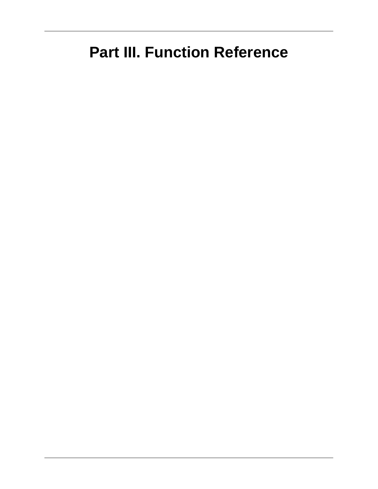# <span id="page-28-0"></span>**Part III. Function Reference**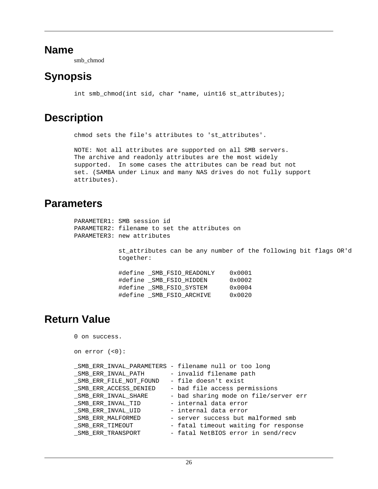#### <span id="page-29-0"></span>**Name**

smb\_chmod

## **Synopsis**

int smb\_chmod(int sid, char \*name, uint16 st\_attributes);

### **Description**

chmod sets the file's attributes to 'st\_attributes'.

NOTE: Not all attributes are supported on all SMB servers. The archive and readonly attributes are the most widely supported. In some cases the attributes can be read but not set. (SAMBA under Linux and many NAS drives do not fully support attributes).

#### **Parameters**

| PARAMETER1: SMB session id<br>PARAMETER2: filename to set the attributes on<br>PARAMETER3: new attributes |                                                                 |  |  |
|-----------------------------------------------------------------------------------------------------------|-----------------------------------------------------------------|--|--|
| together:                                                                                                 | st attributes can be any number of the following bit flags OR'd |  |  |
| #define SMB FSIO READONLY                                                                                 | $0 \times 0001$                                                 |  |  |
| #define SMB FSIO HIDDEN                                                                                   | 0x0002                                                          |  |  |
| #define SMB FSIO SYSTEM                                                                                   | 0x0004                                                          |  |  |
| #define SMB FSIO ARCHIVE                                                                                  | $0 \times 0020$                                                 |  |  |

### **Return Value**

```
0 on success.
```

```
on error (<0):
```

|                        | _SMB_ERR_INVAL_PARAMETERS - filename null or too long |
|------------------------|-------------------------------------------------------|
| SMB ERR INVAL PATH     | - invalid filename path                               |
| SMB ERR FILE NOT FOUND | - file doesn't exist                                  |
| SMB ERR ACCESS DENIED  | - bad file access permissions                         |
| SMB ERR INVAL SHARE    | - bad sharing mode on file/server err                 |
| SMB ERR INVAL TID      | - internal data error                                 |
| SMB ERR INVAL UID      | - internal data error                                 |
| SMB ERR MALFORMED      | - server success but malformed smb                    |
| _SMB_ERR_TIMEOUT       | - fatal timeout waiting for response                  |
| _SMB_ERR_TRANSPORT     | - fatal NetBIOS error in send/recv                    |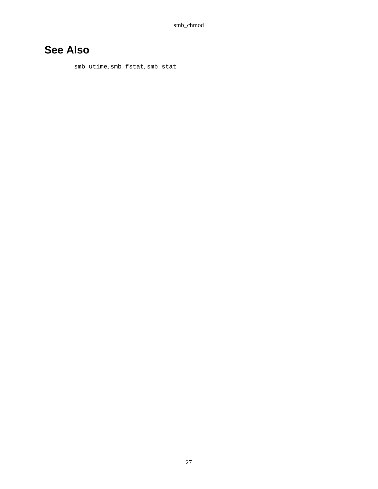## **See Also**

[smb\\_utime](#page-97-0), [smb\\_fstat](#page-40-0), [smb\\_stat](#page-90-0)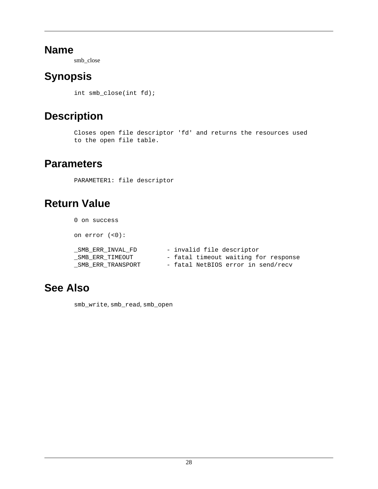#### <span id="page-31-0"></span>**Name**

smb\_close

## **Synopsis**

int smb\_close(int fd);

## **Description**

```
Closes open file descriptor 'fd' and returns the resources used
to the open file table.
```
### **Parameters**

PARAMETER1: file descriptor

## **Return Value**

| 0 on success                         |                                                                   |
|--------------------------------------|-------------------------------------------------------------------|
| on $error$ $(<0)$ :                  |                                                                   |
| SMB ERR INVAL FD                     | - invalid file descriptor<br>- fatal timeout waiting for response |
| SMB ERR TIMEOUT<br>SMB ERR TRANSPORT | - fatal NetBIOS error in send/recv                                |

### **See Also**

[smb\\_write](#page-98-0), [smb\\_read](#page-71-0), [smb\\_open](#page-66-0)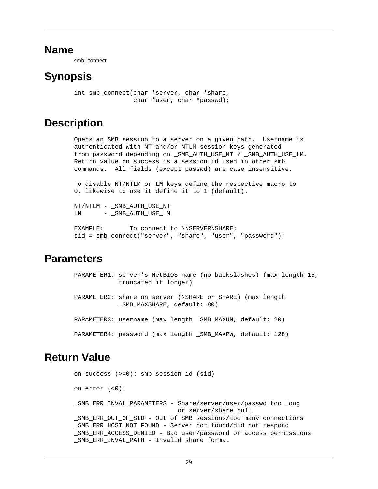#### <span id="page-32-0"></span>**Name**

smb\_connect

## **Synopsis**

```
int smb connect(char *server, char *share,
                 char *user, char *passwd);
```
### **Description**

Opens an SMB session to a server on a given path. Username is authenticated with NT and/or NTLM session keys generated from password depending on \_SMB\_AUTH\_USE\_NT / \_SMB\_AUTH\_USE\_LM. Return value on success is a session id used in other smb commands. All fields (except passwd) are case insensitive.

To disable NT/NTLM or LM keys define the respective macro to 0, likewise to use it define it to 1 (default).

NT/NTLM - \_SMB\_AUTH\_USE\_NT LM - \_SMB\_AUTH\_USE\_LM

```
EXAMPLE: To connect to \\SERVER\SHARE:
sid = smb_connect("server", "share", "user", "password");
```
### **Parameters**

| PARAMETER1: server's NetBIOS name (no backslashes) (max length 15,<br>truncated if longer) |
|--------------------------------------------------------------------------------------------|
| PARAMETER2: share on server (\SHARE or SHARE) (max length<br>SMB MAXSHARE, default: 80)    |
| PARAMETER3: username (max length SMB MAXUN, default: 20)                                   |
| PARAMETER4: password (max length _SMB_MAXPW, default: 128)                                 |

### **Return Value**

```
on success (>=0): smb session id (sid)
on error (<0):
_SMB_ERR_INVAL_PARAMETERS - Share/server/user/passwd too long
                             or server/share null
_SMB_ERR_OUT_OF_SID - Out of SMB sessions/too many connections
SMB_ERR_HOST_NOT_FOUND - Server not found/did not respond
_SMB_ERR_ACCESS_DENIED - Bad user/password or access permissions
_SMB_ERR_INVAL_PATH - Invalid share format
```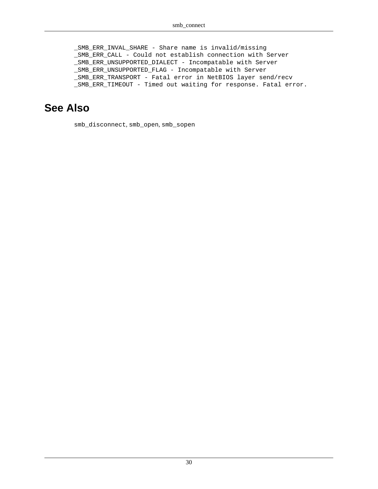\_SMB\_ERR\_INVAL\_SHARE - Share name is invalid/missing \_SMB\_ERR\_CALL - Could not establish connection with Server \_SMB\_ERR\_UNSUPPORTED\_DIALECT - Incompatable with Server \_SMB\_ERR\_UNSUPPORTED\_FLAG - Incompatable with Server \_SMB\_ERR\_TRANSPORT - Fatal error in NetBIOS layer send/recv \_SMB\_ERR\_TIMEOUT - Timed out waiting for response. Fatal error.

#### **See Also**

[smb\\_disconnect](#page-38-0), [smb\\_open](#page-66-0), [smb\\_sopen](#page-86-0)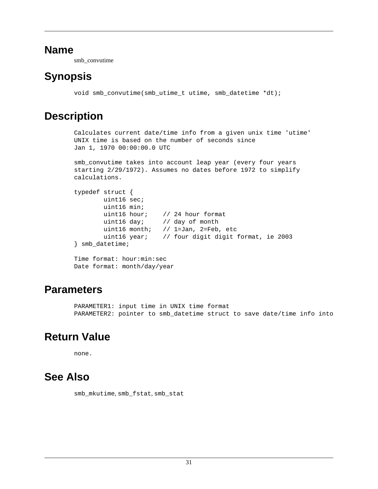#### <span id="page-34-0"></span>**Name**

smb\_convutime

## **Synopsis**

void smb\_convutime(smb\_utime\_t utime, smb\_datetime \*dt);

## **Description**

```
Calculates current date/time info from a given unix time 'utime'
UNIX time is based on the number of seconds since
Jan 1, 1970 00:00:00.0 UTC
smb_convutime takes into account leap year (every four years
```

```
starting 2/29/1972). Assumes no dates before 1972 to simplify
calculations.
```

```
typedef struct {
         uint16 sec;
        uint16 min;<br>uint16 hour;
                        // 24 hour format
         uint16 day; // day of month
         uint16 month; // 1=Jan, 2=Feb, etc
         uint16 year; // four digit digit format, ie 2003
} smb_datetime;
```

```
Time format: hour:min:sec
Date format: month/day/year
```
### **Parameters**

PARAMETER1: input time in UNIX time format PARAMETER2: pointer to smb\_datetime struct to save date/time info into

## **Return Value**

none.

## **See Also**

[smb\\_mkutime](#page-65-0), [smb\\_fstat](#page-40-0), [smb\\_stat](#page-90-0)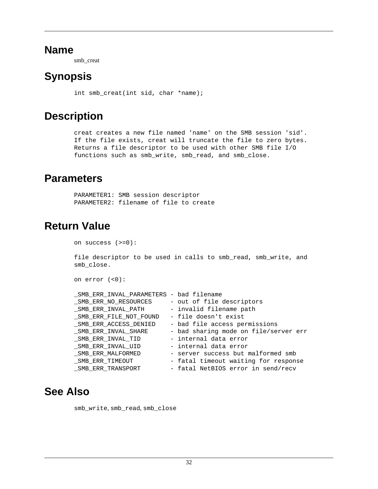#### <span id="page-35-0"></span>**Name**

smb\_creat

## **Synopsis**

int smb\_creat(int sid, char \*name);

## **Description**

creat creates a new file named 'name' on the SMB session 'sid'. If the file exists, creat will truncate the file to zero bytes. Returns a file descriptor to be used with other SMB file I/O functions such as smb\_write, smb\_read, and smb\_close.

### **Parameters**

PARAMETER1: SMB session descriptor PARAMETER2: filename of file to create

## **Return Value**

on success (>=0):

file descriptor to be used in calls to smb\_read, smb\_write, and smb\_close.

```
on error (<0):
```

| _SMB_ERR_INVAL_PARAMETERS - bad filename |                                       |
|------------------------------------------|---------------------------------------|
| SMB ERR NO RESOURCES                     | - out of file descriptors             |
| SMB ERR INVAL PATH                       | - invalid filename path               |
| SMB ERR FILE NOT FOUND                   | - file doesn't exist                  |
| SMB ERR ACCESS DENIED                    | - bad file access permissions         |
| SMB ERR INVAL SHARE                      | - bad sharing mode on file/server err |
| SMB ERR INVAL TID                        | - internal data error                 |
| SMB ERR INVAL UID                        | - internal data error                 |
| SMB ERR MALFORMED                        | - server success but malformed smb    |
| SMB ERR TIMEOUT                          | - fatal timeout waiting for response  |
| _SMB_ERR_TRANSPORT                       | - fatal NetBIOS error in send/recv    |

### **See Also**

[smb\\_write](#page-98-0), [smb\\_read](#page-71-0), [smb\\_close](#page-31-0)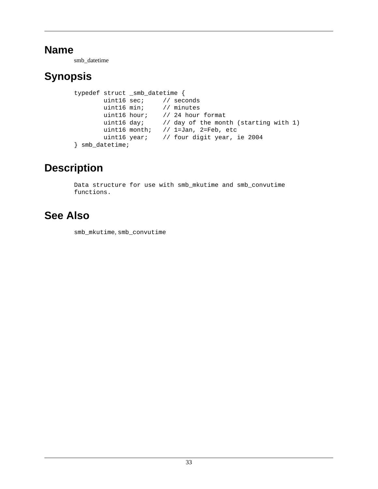smb\_datetime

# **Synopsis**

```
typedef struct _smb_datetime {
        uint16 sec; // seconds
        uint16 min; // minutes
        uint16 hour; // 24 hour format
       uint16 day; // day of the month (starting with 1)
        uint16 month; // 1=Jan, 2=Feb, etc
        uint16 year; // four digit year, ie 2004
} smb_datetime;
```
# **Description**

Data structure for use with smb\_mkutime and smb\_convutime functions.

# **See Also**

[smb\\_mkutime](#page-65-0), [smb\\_convutime](#page-34-0)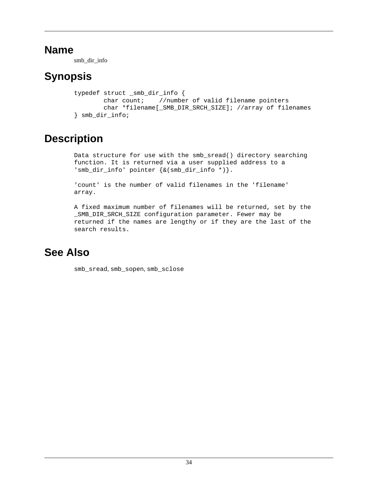smb\_dir\_info

# **Synopsis**

```
typedef struct _smb_dir_info {
        char count; //number of valid filename pointers
        char *filename[_SMB_DIR_SRCH_SIZE]; //array of filenames
} smb_dir_info;
```
# **Description**

Data structure for use with the smb\_sread() directory searching function. It is returned via a user supplied address to a 'smb\_dir\_info' pointer {&(smb\_dir\_info \*)}.

'count' is the number of valid filenames in the 'filename' array.

A fixed maximum number of filenames will be returned, set by the \_SMB\_DIR\_SRCH\_SIZE configuration parameter. Fewer may be returned if the names are lengthy or if they are the last of the search results.

## **See Also**

[smb\\_sread](#page-88-0), [smb\\_sopen](#page-86-0), [smb\\_sclose](#page-77-0)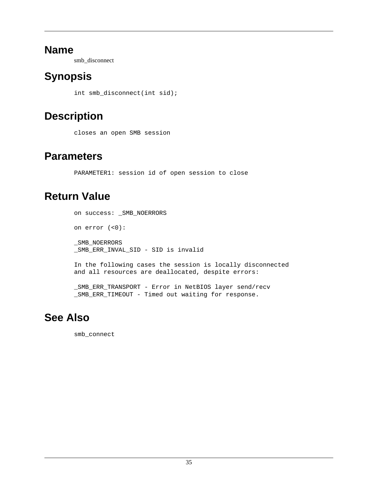smb\_disconnect

# **Synopsis**

int smb\_disconnect(int sid);

# **Description**

closes an open SMB session

## **Parameters**

PARAMETER1: session id of open session to close

# **Return Value**

```
on success: _SMB_NOERRORS
on error (<0):
SMB_NOERRORS
_SMB_ERR_INVAL_SID - SID is invalid
In the following cases the session is locally disconnected
and all resources are deallocated, despite errors:
```
\_SMB\_ERR\_TRANSPORT - Error in NetBIOS layer send/recv \_SMB\_ERR\_TIMEOUT - Timed out waiting for response.

# **See Also**

[smb\\_connect](#page-32-0)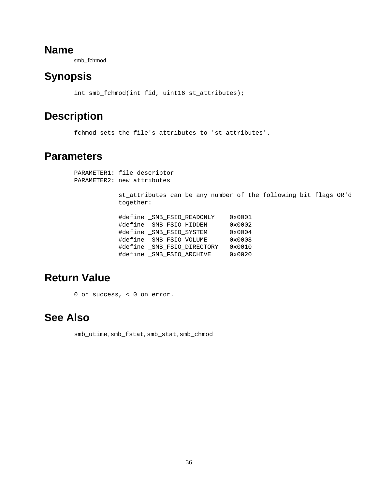smb\_fchmod

# **Synopsis**

int smb\_fchmod(int fid, uint16 st\_attributes);

## **Description**

fchmod sets the file's attributes to 'st\_attributes'.

### **Parameters**

PARAMETER1: file descriptor PARAMETER2: new attributes

> st\_attributes can be any number of the following bit flags OR'd together:

| #define SMB FSIO READONLY   |  |  | 0x0001 |
|-----------------------------|--|--|--------|
| #define SMB FSIO HIDDEN     |  |  | 0x0002 |
| #define _SMB_FSIO_SYSTEM    |  |  | 0x0004 |
| #define SMB FSIO VOLUME     |  |  | 0x0008 |
| #define _SMB_FSIO_DIRECTORY |  |  | 0x0010 |
| #define _SMB_FSIO_ARCHIVE   |  |  | 0x0020 |
|                             |  |  |        |

## **Return Value**

0 on success, < 0 on error.

### **See Also**

[smb\\_utime](#page-97-0), [smb\\_fstat](#page-40-0), [smb\\_stat](#page-90-0), [smb\\_chmod](#page-29-0)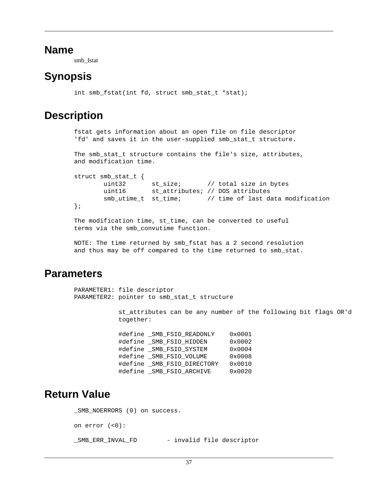smb\_fstat

### <span id="page-40-0"></span>**Synopsis**

int smb fstat(int fd, struct smb stat t \*stat);

### **Description**

```
fstat gets information about an open file on file descriptor
'fd' and saves it in the user-supplied smb_stat_t structure.
The smb_stat_t structure contains the file's size, attributes,
and modification time.
struct smb_stat_t {
        uint32 st_size; // total size in bytes
        uint16 st_attributes; // DOS attributes
       smb utime t st_time; // time of last data modification
};
The modification time, st_time, can be converted to useful
```
terms via the smb\_convutime function.

NOTE: The time returned by smb\_fstat has a 2 second resolution and thus may be off compared to the time returned to smb\_stat.

### **Parameters**

```
PARAMETER1: file descriptor
PARAMETER2: pointer to smb_stat_t structure
            st_attributes can be any number of the following bit flags OR'd
            together:
           #define SMB FSIO READONLY 0x0001
            #define _SMB_FSIO_HIDDEN 0x0002
            #define _SMB_FSIO_SYSTEM 0x0004
            #define _SMB_FSIO_VOLUME 0x0008
            #define _SMB_FSIO_DIRECTORY 0x0010
           #define SMB FSIO ARCHIVE 0x0020
```
## **Return Value**

```
_SMB_NOERRORS (0) on success.
on error (<0):
_SMB_ERR_INVAL_FD - invalid file descriptor
```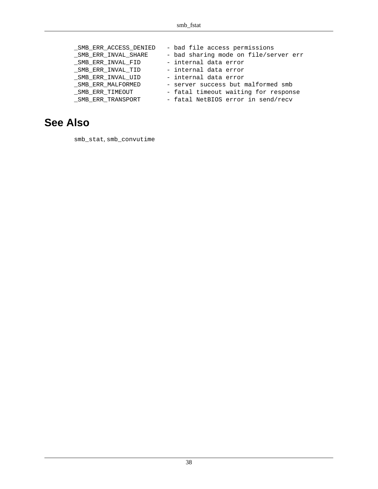| SMB ERR ACCESS DENIED | - bad file access permissions         |
|-----------------------|---------------------------------------|
| SMB ERR INVAL SHARE   | - bad sharing mode on file/server err |
| SMB ERR INVAL FID     | - internal data error                 |
| SMB ERR INVAL TID     | - internal data error                 |
| SMB ERR INVAL UID     | - internal data error                 |
| SMB ERR MALFORMED     | - server success but malformed smb    |
| SMB ERR TIMEOUT       | - fatal timeout waiting for response  |
| SMB ERR TRANSPORT     | - fatal NetBIOS error in send/recv    |

### **See Also**

[smb\\_stat](#page-90-0), [smb\\_convutime](#page-34-0)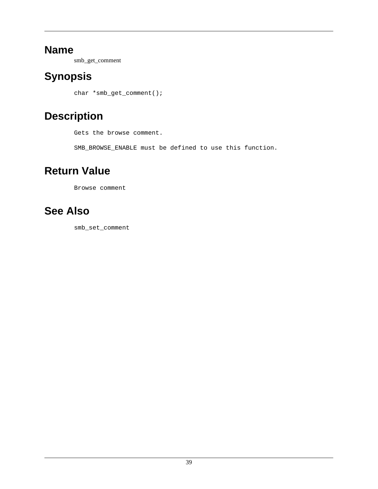smb\_get\_comment

# **Synopsis**

char \*smb\_get\_comment();

# **Description**

Gets the browse comment.

SMB\_BROWSE\_ENABLE must be defined to use this function.

# **Return Value**

Browse comment

# **See Also**

[smb\\_set\\_comment](#page-79-0)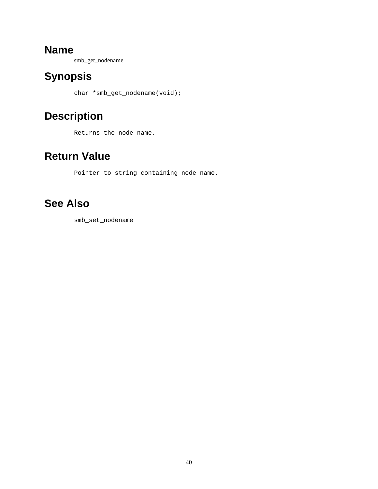smb\_get\_nodename

# **Synopsis**

char \*smb\_get\_nodename(void);

# **Description**

Returns the node name.

# **Return Value**

Pointer to string containing node name.

# **See Also**

[smb\\_set\\_nodename](#page-80-0)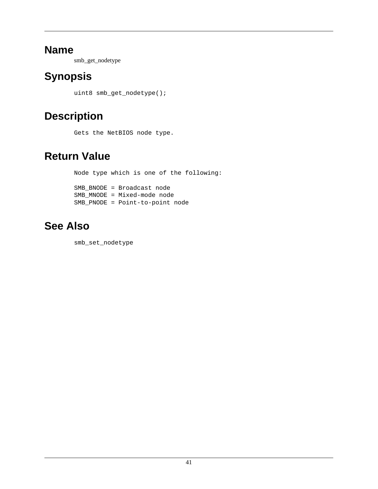smb\_get\_nodetype

# **Synopsis**

uint8 smb\_get\_nodetype();

# **Description**

Gets the NetBIOS node type.

# **Return Value**

Node type which is one of the following: SMB\_BNODE = Broadcast node SMB\_MNODE = Mixed-mode node SMB\_PNODE = Point-to-point node

# **See Also**

[smb\\_set\\_nodetype](#page-81-0)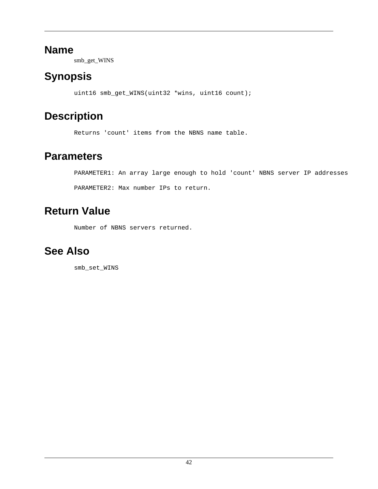smb\_get\_WINS

# **Synopsis**

uint16 smb\_get\_WINS(uint32 \*wins, uint16 count);

# **Description**

Returns 'count' items from the NBNS name table.

## **Parameters**

PARAMETER1: An array large enough to hold 'count' NBNS server IP addresses PARAMETER2: Max number IPs to return.

# **Return Value**

Number of NBNS servers returned.

## **See Also**

[smb\\_set\\_WINS](#page-83-0)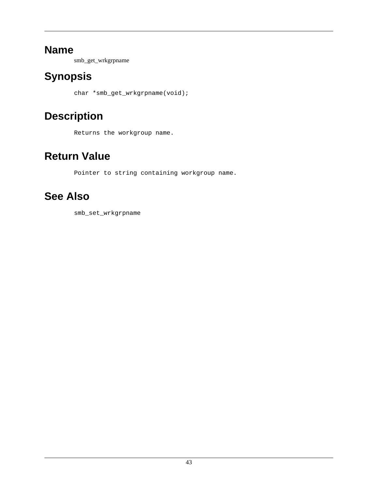smb\_get\_wrkgrpname

# **Synopsis**

char \*smb\_get\_wrkgrpname(void);

# **Description**

Returns the workgroup name.

# **Return Value**

Pointer to string containing workgroup name.

# **See Also**

[smb\\_set\\_wrkgrpname](#page-84-0)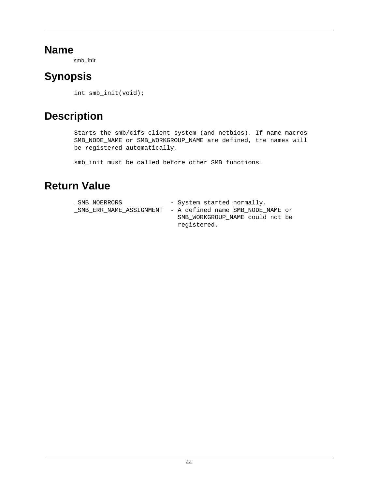smb\_init

# **Synopsis**

int smb\_init(void);

# **Description**

Starts the smb/cifs client system (and netbios). If name macros SMB\_NODE\_NAME or SMB\_WORKGROUP\_NAME are defined, the names will be registered automatically.

smb\_init must be called before other SMB functions.

# **Return Value**

| SMB NOERRORS | - System started normally.                                 |
|--------------|------------------------------------------------------------|
|              | SMB ERR NAME ASSIGNMENT  – A defined name SMB NODE NAME or |
|              | SMB WORKGROUP NAME could not be                            |
|              | registered.                                                |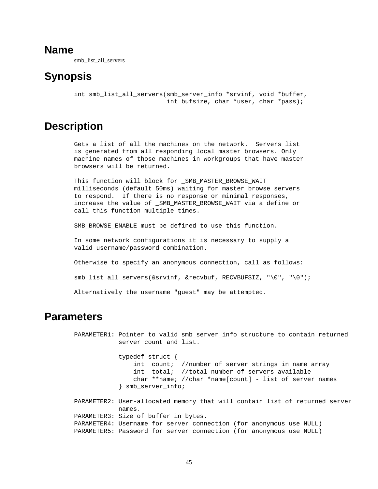smb\_list\_all\_servers

## **Synopsis**

```
int smb list all servers(smb server info *srvinf, void *buffer,
                          int bufsize, char *user, char *pass);
```
## **Description**

Gets a list of all the machines on the network. Servers list is generated from all responding local master browsers. Only machine names of those machines in workgroups that have master browsers will be returned.

This function will block for SMB MASTER BROWSE WAIT milliseconds (default 50ms) waiting for master browse servers to respond. If there is no response or minimal responses, increase the value of \_SMB\_MASTER\_BROWSE\_WAIT via a define or call this function multiple times.

SMB\_BROWSE\_ENABLE must be defined to use this function.

In some network configurations it is necessary to supply a valid username/password combination.

Otherwise to specify an anonymous connection, call as follows:

smb\_list\_all\_servers(&srvinf, &recvbuf, RECVBUFSIZ, "\0", "\0");

Alternatively the username "guest" may be attempted.

### **Parameters**

PARAMETER1: Pointer to valid smb\_server\_info structure to contain returned server count and list. typedef struct { int count; //number of server strings in name array int total; //total number of servers available char \*\*name; //char \*name[count] - list of server names } smb\_server\_info; PARAMETER2: User-allocated memory that will contain list of returned server names. PARAMETER3: Size of buffer in bytes. PARAMETER4: Username for server connection (for anonymous use NULL) PARAMETER5: Password for server connection (for anonymous use NULL)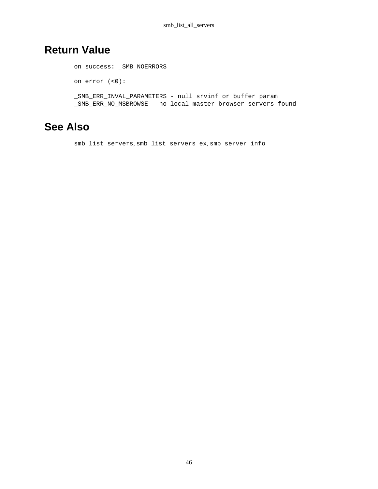## **Return Value**

on success: \_SMB\_NOERRORS on error (<0): \_SMB\_ERR\_INVAL\_PARAMETERS - null srvinf or buffer param \_SMB\_ERR\_NO\_MSBROWSE - no local master browser servers found

### **See Also**

[smb\\_list\\_servers](#page-50-0), [smb\\_list\\_servers\\_ex](#page-52-0), [smb\\_server\\_info](#page-78-0)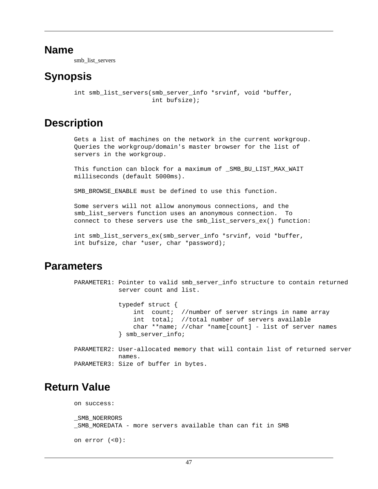smb\_list\_servers

### <span id="page-50-0"></span>**Synopsis**

```
int smb list servers(smb server info *srvinf, void *buffer,
                      int bufsize);
```
### **Description**

Gets a list of machines on the network in the current workgroup. Queries the workgroup/domain's master browser for the list of servers in the workgroup.

This function can block for a maximum of \_SMB\_BU\_LIST\_MAX\_WAIT milliseconds (default 5000ms).

SMB BROWSE ENABLE must be defined to use this function.

Some servers will not allow anonymous connections, and the smb list servers function uses an anonymous connection. To connect to these servers use the smb\_list\_servers\_ex() function:

int smb\_list\_servers\_ex(smb\_server\_info \*srvinf, void \*buffer, int bufsize, char \*user, char \*password);

### **Parameters**

```
PARAMETER1: Pointer to valid smb_server_info structure to contain returned
             server count and list.
             typedef struct {
                 int count; //number of server strings in name array
                 int total; //total number of servers available
                 char **name; //char *name[count] - list of server names
             } smb_server_info;
PARAMETER2: User-allocated memory that will contain list of returned server
             names.
PARAMETER3: Size of buffer in bytes.
```
### **Return Value**

on success: \_SMB\_NOERRORS SMB MOREDATA - more servers available than can fit in SMB on error (<0):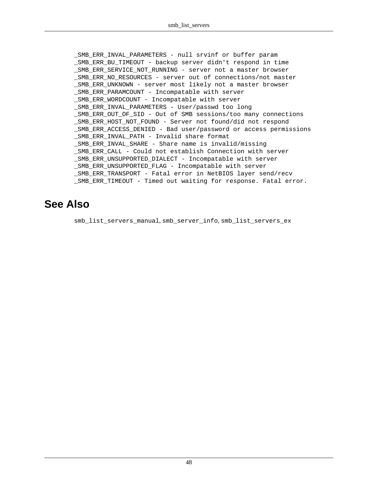SMB ERR INVAL PARAMETERS - null srvinf or buffer param \_SMB\_ERR\_BU\_TIMEOUT - backup server didn't respond in time SMB\_ERR\_SERVICE\_NOT\_RUNNING - server not a master browser \_SMB\_ERR\_NO\_RESOURCES - server out of connections/not master \_SMB\_ERR\_UNKNOWN - server most likely not a master browser \_SMB\_ERR\_PARAMCOUNT - Incompatable with server SMB ERR WORDCOUNT - Incompatable with server \_SMB\_ERR\_INVAL\_PARAMETERS - User/passwd too long \_SMB\_ERR\_OUT\_OF\_SID - Out of SMB sessions/too many connections \_SMB\_ERR\_HOST\_NOT\_FOUND - Server not found/did not respond \_SMB\_ERR\_ACCESS\_DENIED - Bad user/password or access permissions \_SMB\_ERR\_INVAL\_PATH - Invalid share format \_SMB\_ERR\_INVAL\_SHARE - Share name is invalid/missing \_SMB\_ERR\_CALL - Could not establish Connection with server \_SMB\_ERR\_UNSUPPORTED\_DIALECT - Incompatable with server \_SMB\_ERR\_UNSUPPORTED\_FLAG - Incompatable with server \_SMB\_ERR\_TRANSPORT - Fatal error in NetBIOS layer send/recv SMB ERR TIMEOUT - Timed out waiting for response. Fatal error.

### **See Also**

[smb\\_list\\_servers\\_manual](#page-54-0), [smb\\_server\\_info](#page-78-0), [smb\\_list\\_servers\\_ex](#page-52-0)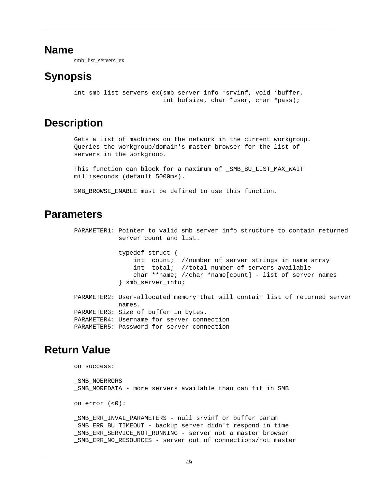smb\_list\_servers\_ex

## <span id="page-52-0"></span>**Synopsis**

```
int smb list servers ex(smb server info *srvinf, void *buffer,
                         int bufsize, char *user, char *pass);
```
## **Description**

Gets a list of machines on the network in the current workgroup. Queries the workgroup/domain's master browser for the list of servers in the workgroup.

This function can block for a maximum of \_SMB\_BU\_LIST\_MAX\_WAIT milliseconds (default 5000ms).

SMB BROWSE ENABLE must be defined to use this function.

### **Parameters**

```
PARAMETER1: Pointer to valid smb_server_info structure to contain returned
             server count and list.
             typedef struct {
                 int count; //number of server strings in name array
                 int total; //total number of servers available
                char **name; //char *name[count] - list of server names
             } smb_server_info;
PARAMETER2: User-allocated memory that will contain list of returned server
            names.
PARAMETER3: Size of buffer in bytes.
PARAMETER4: Username for server connection
PARAMETER5: Password for server connection
```
## **Return Value**

```
on success:
SMB_NOERRORS
_SMB_MOREDATA - more servers available than can fit in SMB
on error (<0):
_SMB_ERR_INVAL_PARAMETERS - null srvinf or buffer param
SMB ERR BU TIMEOUT - backup server didn't respond in time
_SMB_ERR_SERVICE_NOT_RUNNING - server not a master browser
_SMB_ERR_NO_RESOURCES - server out of connections/not master
```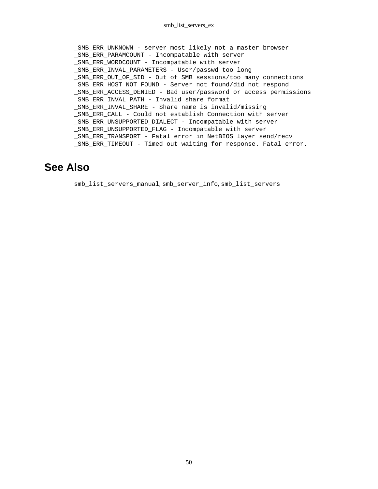\_SMB\_ERR\_UNKNOWN - server most likely not a master browser \_SMB\_ERR\_PARAMCOUNT - Incompatable with server \_SMB\_ERR\_WORDCOUNT - Incompatable with server SMB\_ERR\_INVAL\_PARAMETERS - User/passwd too long \_SMB\_ERR\_OUT\_OF\_SID - Out of SMB sessions/too many connections \_SMB\_ERR\_HOST\_NOT\_FOUND - Server not found/did not respond \_SMB\_ERR\_ACCESS\_DENIED - Bad user/password or access permissions SMB ERR INVAL PATH - Invalid share format \_SMB\_ERR\_INVAL\_SHARE - Share name is invalid/missing \_SMB\_ERR\_CALL - Could not establish Connection with server \_SMB\_ERR\_UNSUPPORTED\_DIALECT - Incompatable with server \_SMB\_ERR\_UNSUPPORTED\_FLAG - Incompatable with server \_SMB\_ERR\_TRANSPORT - Fatal error in NetBIOS layer send/recv \_SMB\_ERR\_TIMEOUT - Timed out waiting for response. Fatal error.

### **See Also**

[smb\\_list\\_servers\\_manual](#page-54-0), [smb\\_server\\_info](#page-78-0), [smb\\_list\\_servers](#page-50-0)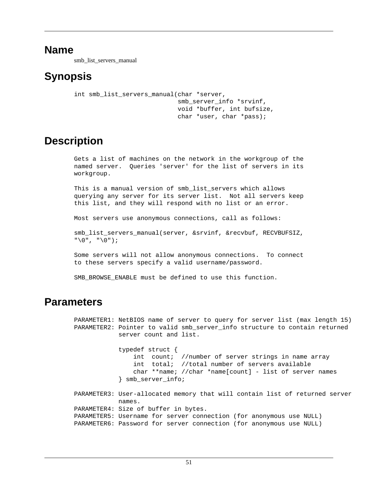smb\_list\_servers\_manual

## <span id="page-54-0"></span>**Synopsis**

```
int smb list servers manual(char *server,
                              smb_server_info *srvinf, 
                              void *buffer, int bufsize,
                              char *user, char *pass);
```
## **Description**

Gets a list of machines on the network in the workgroup of the named server. Queries 'server' for the list of servers in its workgroup.

This is a manual version of smb\_list\_servers which allows querying any server for its server list. Not all servers keep this list, and they will respond with no list or an error.

Most servers use anonymous connections, call as follows:

smb\_list\_servers\_manual(server, &srvinf, &recvbuf, RECVBUFSIZ, "\0", "\0");

Some servers will not allow anonymous connections. To connect to these servers specify a valid username/password.

SMB BROWSE ENABLE must be defined to use this function.

### **Parameters**

PARAMETER1: NetBIOS name of server to query for server list (max length 15) PARAMETER2: Pointer to valid smb server info structure to contain returned server count and list. typedef struct { int count; //number of server strings in name array int total; //total number of servers available char \*\*name; //char \*name[count] - list of server names } smb\_server\_info; PARAMETER3: User-allocated memory that will contain list of returned server names. PARAMETER4: Size of buffer in bytes. PARAMETER5: Username for server connection (for anonymous use NULL) PARAMETER6: Password for server connection (for anonymous use NULL)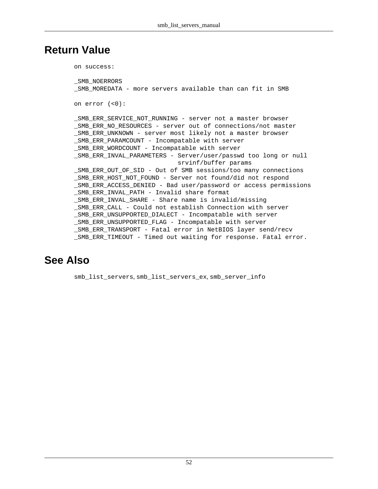### **Return Value**

on success:

```
SMB_NOERRORS
_SMB_MOREDATA - more servers available than can fit in SMB
on error (<0):
_SMB_ERR_SERVICE_NOT_RUNNING - server not a master browser
_SMB_ERR_NO_RESOURCES - server out of connections/not master
SMB ERR UNKNOWN - server most likely not a master browser
_SMB_ERR_PARAMCOUNT - Incompatable with server
SMB ERR WORDCOUNT - Incompatable with server
_SMB_ERR_INVAL_PARAMETERS - Server/user/passwd too long or null
                             srvinf/buffer params
_SMB_ERR_OUT_OF_SID - Out of SMB sessions/too many connections
SMB_ERR_HOST_NOT_FOUND - Server not found/did not respond
_SMB_ERR_ACCESS_DENIED - Bad user/password or access permissions
_SMB_ERR_INVAL_PATH - Invalid share format
_SMB_ERR_INVAL_SHARE - Share name is invalid/missing
_SMB_ERR_CALL - Could not establish Connection with server
_SMB_ERR_UNSUPPORTED_DIALECT - Incompatable with server
_SMB_ERR_UNSUPPORTED_FLAG - Incompatable with server
SMB ERR TRANSPORT - Fatal error in NetBIOS layer send/recv
_SMB_ERR_TIMEOUT - Timed out waiting for response. Fatal error.
```
### **See Also**

[smb\\_list\\_servers](#page-50-0), [smb\\_list\\_servers\\_ex](#page-52-0), [smb\\_server\\_info](#page-78-0)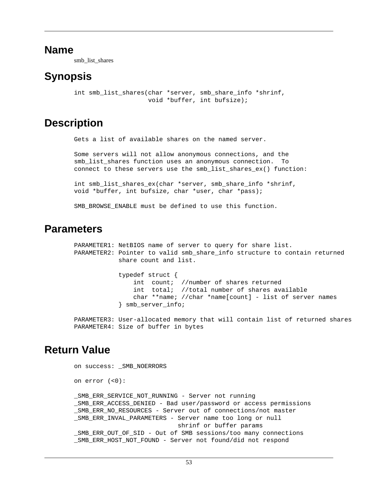smb\_list\_shares

## <span id="page-56-0"></span>**Synopsis**

```
int smb_list_shares(char *server, smb_share_info *shrinf,
                     void *buffer, int bufsize);
```
### **Description**

Gets a list of available shares on the named server.

Some servers will not allow anonymous connections, and the smb\_list\_shares function uses an anonymous connection. To connect to these servers use the smb\_list\_shares\_ex() function:

int smb\_list\_shares\_ex(char \*server, smb\_share\_info \*shrinf, void \*buffer, int bufsize, char \*user, char \*pass);

SMB\_BROWSE\_ENABLE must be defined to use this function.

### **Parameters**

```
PARAMETER1: NetBIOS name of server to query for share list.
PARAMETER2: Pointer to valid smb share info structure to contain returned
             share count and list.
             typedef struct {
                 int count; //number of shares returned
                 int total; //total number of shares available
                char **name; //char *name[count] - list of server names
             } smb_server_info;
```
PARAMETER3: User-allocated memory that will contain list of returned shares PARAMETER4: Size of buffer in bytes

## **Return Value**

```
on success: _SMB_NOERRORS
on error (<0):
_SMB_ERR_SERVICE_NOT_RUNNING - Server not running
_SMB_ERR_ACCESS_DENIED - Bad user/password or access permissions
_SMB_ERR_NO_RESOURCES - Server out of connections/not master
_SMB_ERR_INVAL_PARAMETERS - Server name too long or null
                             shrinf or buffer params
_SMB_ERR_OUT_OF_SID - Out of SMB sessions/too many connections
_SMB_ERR_HOST_NOT_FOUND - Server not found/did not respond
```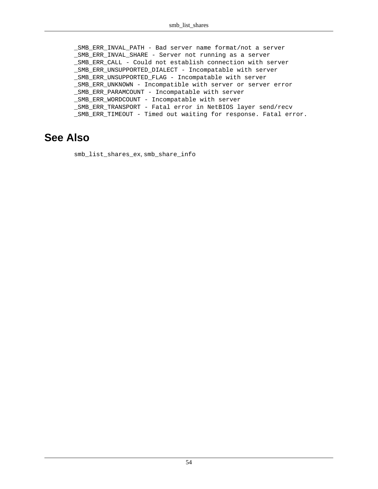\_SMB\_ERR\_INVAL\_PATH - Bad server name format/not a server \_SMB\_ERR\_INVAL\_SHARE - Server not running as a server \_SMB\_ERR\_CALL - Could not establish connection with server \_SMB\_ERR\_UNSUPPORTED\_DIALECT - Incompatable with server \_SMB\_ERR\_UNSUPPORTED\_FLAG - Incompatable with server \_SMB\_ERR\_UNKNOWN - Incompatible with server or server error \_SMB\_ERR\_PARAMCOUNT - Incompatable with server \_SMB\_ERR\_WORDCOUNT - Incompatable with server \_SMB\_ERR\_TRANSPORT - Fatal error in NetBIOS layer send/recv \_SMB\_ERR\_TIMEOUT - Timed out waiting for response. Fatal error.

#### **See Also**

[smb\\_list\\_shares\\_ex](#page-58-0), [smb\\_share\\_info](#page-85-0)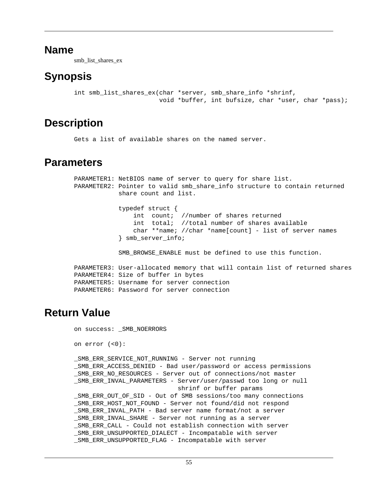smb\_list\_shares\_ex

## <span id="page-58-0"></span>**Synopsis**

```
int smb_list_shares_ex(char *server, smb_share_info *shrinf,
                        void *buffer, int bufsize, char *user, char *pass);
```
## **Description**

Gets a list of available shares on the named server.

### **Parameters**

```
PARAMETER1: NetBIOS name of server to query for share list.
PARAMETER2: Pointer to valid smb_share_info structure to contain returned
             share count and list.
             typedef struct {
                 int count; //number of shares returned
                 int total; //total number of shares available
                 char **name; //char *name[count] - list of server names
             } smb_server_info;
            SMB BROWSE ENABLE must be defined to use this function.
PARAMETER3: User-allocated memory that will contain list of returned shares
PARAMETER4: Size of buffer in bytes
PARAMETER5: Username for server connection
PARAMETER6: Password for server connection
```
## **Return Value**

```
on success: _SMB_NOERRORS
on error (<0):
_SMB_ERR_SERVICE_NOT_RUNNING - Server not running
_SMB_ERR_ACCESS_DENIED - Bad user/password or access permissions
_SMB_ERR_NO_RESOURCES - Server out of connections/not master
_SMB_ERR_INVAL_PARAMETERS - Server/user/passwd too long or null
                             shrinf or buffer params
SMB ERR OUT OF SID - Out of SMB sessions/too many connections
_SMB_ERR_HOST_NOT_FOUND - Server not found/did not respond
_SMB_ERR_INVAL_PATH - Bad server name format/not a server
_SMB_ERR_INVAL_SHARE - Server not running as a server
SMB ERR CALL - Could not establish connection with server
_SMB_ERR_UNSUPPORTED_DIALECT - Incompatable with server
_SMB_ERR_UNSUPPORTED_FLAG - Incompatable with server
```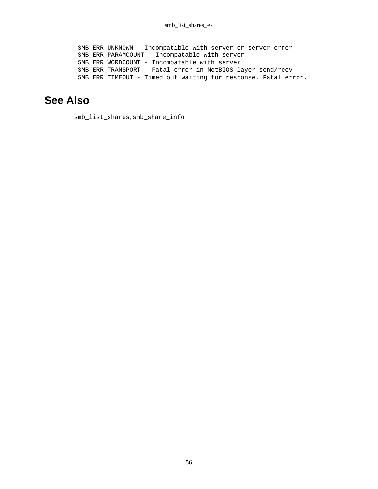\_SMB\_ERR\_UNKNOWN - Incompatible with server or server error \_SMB\_ERR\_PARAMCOUNT - Incompatable with server \_SMB\_ERR\_WORDCOUNT - Incompatable with server \_SMB\_ERR\_TRANSPORT - Fatal error in NetBIOS layer send/recv \_SMB\_ERR\_TIMEOUT - Timed out waiting for response. Fatal error.

### **See Also**

[smb\\_list\\_shares](#page-56-0), [smb\\_share\\_info](#page-85-0)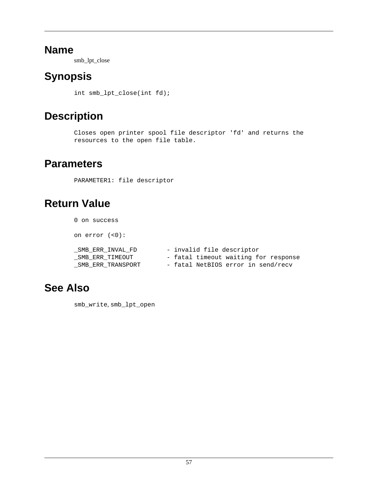smb\_lpt\_close

# <span id="page-60-0"></span>**Synopsis**

int smb\_lpt\_close(int fd);

# **Description**

Closes open printer spool file descriptor 'fd' and returns the resources to the open file table.

## **Parameters**

PARAMETER1: file descriptor

# **Return Value**

0 on success on error (<0): \_SMB\_ERR\_INVAL\_FD - invalid file descriptor \_SMB\_ERR\_TIMEOUT - fatal timeout waiting for response \_SMB\_ERR\_TRANSPORT - fatal NetBIOS error in send/recv

# **See Also**

[smb\\_write](#page-98-0), [smb\\_lpt\\_open](#page-61-0)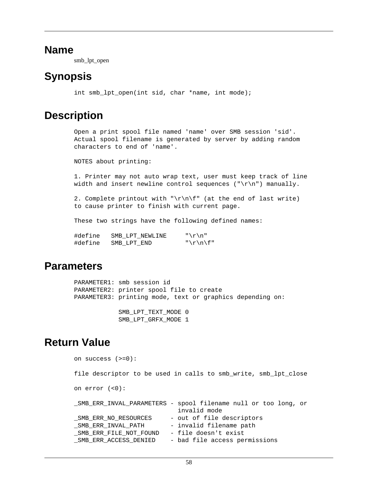smb\_lpt\_open

### <span id="page-61-0"></span>**Synopsis**

int smb lpt open(int sid, char \*name, int mode);

### **Description**

Open a print spool file named 'name' over SMB session 'sid'. Actual spool filename is generated by server by adding random characters to end of 'name'.

NOTES about printing:

1. Printer may not auto wrap text, user must keep track of line width and insert newline control sequences (" $\r\r\$ n") manually.

2. Complete printout with "\r\n\f" (at the end of last write) to cause printer to finish with current page.

These two strings have the following defined names:

| #define | SMB LPT NEWLINE | " $\r \r \r \r$ |
|---------|-----------------|-----------------|
| #define | SMB LPT END     | "\r\n\f"        |

### **Parameters**

PARAMETER1: smb session id PARAMETER2: printer spool file to create PARAMETER3: printing mode, text or graphics depending on: SMB\_LPT\_TEXT\_MODE 0

### SMB\_LPT\_GRFX\_MODE 1

### **Return Value**

on success (>=0): file descriptor to be used in calls to smb\_write, smb\_lpt\_close on error (<0): \_SMB\_ERR\_INVAL\_PARAMETERS - spool filename null or too long, or invalid mode \_SMB\_ERR\_NO\_RESOURCES - out of file descriptors \_SMB\_ERR\_INVAL\_PATH - invalid filename path \_SMB\_ERR\_FILE\_NOT\_FOUND - file doesn't exist \_SMB\_ERR\_ACCESS\_DENIED - bad file access permissions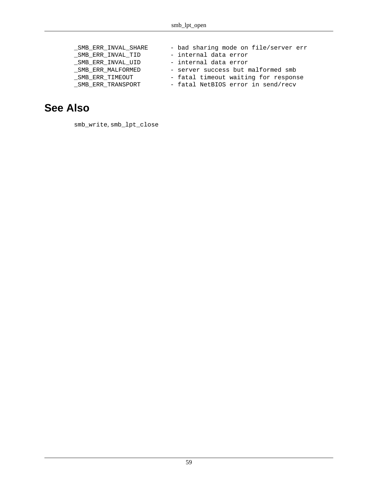| _SMB_ERR_INVAL_SHARE | - bad sharing mode on file/server err |
|----------------------|---------------------------------------|
| SMB ERR INVAL TID    | - internal data error                 |
| SMB ERR INVAL UID    | - internal data error                 |
| SMB ERR MALFORMED    | - server success but malformed smb    |
| SMB ERR TIMEOUT      | - fatal timeout waiting for response  |
| SMB ERR TRANSPORT    | - fatal NetBIOS error in send/recv    |

### **See Also**

[smb\\_write](#page-98-0), [smb\\_lpt\\_close](#page-60-0)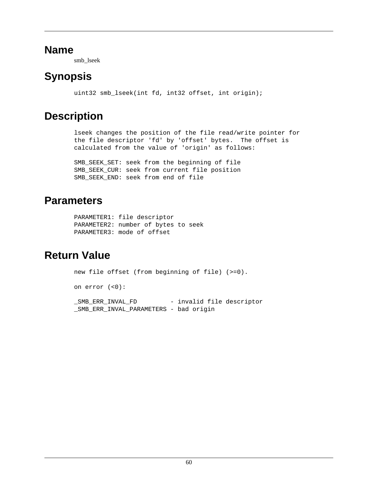smb\_lseek

# **Synopsis**

uint32 smb\_lseek(int fd, int32 offset, int origin);

# **Description**

lseek changes the position of the file read/write pointer for the file descriptor 'fd' by 'offset' bytes. The offset is calculated from the value of 'origin' as follows:

SMB\_SEEK\_SET: seek from the beginning of file SMB\_SEEK\_CUR: seek from current file position SMB SEEK END: seek from end of file

### **Parameters**

```
PARAMETER1: file descriptor
PARAMETER2: number of bytes to seek
PARAMETER3: mode of offset
```
# **Return Value**

```
new file offset (from beginning of file) (>=0).
on error (<0):
_SMB_ERR_INVAL_FD - invalid file descriptor
_SMB_ERR_INVAL_PARAMETERS - bad origin
```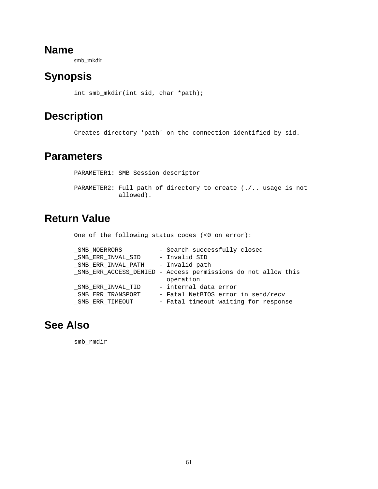smb\_mkdir

# **Synopsis**

int smb\_mkdir(int sid, char \*path);

# **Description**

Creates directory 'path' on the connection identified by sid.

### **Parameters**

PARAMETER1: SMB Session descriptor PARAMETER2: Full path of directory to create (./.. usage is not allowed).

## **Return Value**

One of the following status codes (<0 on error):

| SMB NOERRORS       | - Search successfully closed                                  |
|--------------------|---------------------------------------------------------------|
| SMB ERR INVAL SID  | - Invalid SID                                                 |
| SMB ERR INVAL PATH | - Invalid path                                                |
|                    | _SMB_ERR_ACCESS_DENIED - Access permissions do not allow this |
|                    | operation                                                     |
| SMB ERR INVAL TID  | - internal data error                                         |
| _SMB_ERR_TRANSPORT | - Fatal NetBIOS error in send/recv                            |
| SMB ERR TIMEOUT    | - Fatal timeout waiting for response                          |

## **See Also**

[smb\\_rmdir](#page-76-0)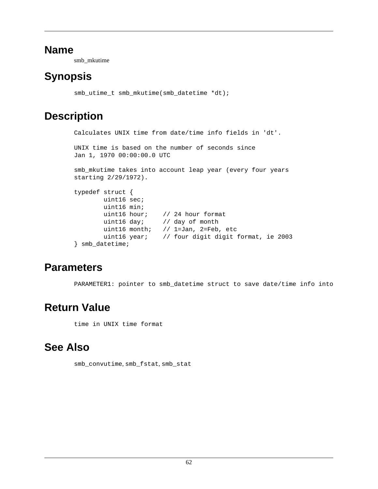smb\_mkutime

# <span id="page-65-0"></span>**Synopsis**

```
smb_utime_t smb_mkutime(smb_datetime *dt);
```
# **Description**

```
Calculates UNIX time from date/time info fields in 'dt'.
UNIX time is based on the number of seconds since
Jan 1, 1970 00:00:00.0 UTC
smb_mkutime takes into account leap year (every four years
starting 2/29/1972).
typedef struct {
         uint16 sec;
         uint16 min;
         uint16 hour; // 24 hour format
         uint16 day; // day of month
         uint16 month; // 1=Jan, 2=Feb, etc
         uint16 year; // four digit digit format, ie 2003
} smb_datetime;
```
# **Parameters**

PARAMETER1: pointer to smb\_datetime struct to save date/time info into

# **Return Value**

time in UNIX time format

# **See Also**

[smb\\_convutime](#page-34-0), [smb\\_fstat](#page-40-0), [smb\\_stat](#page-90-0)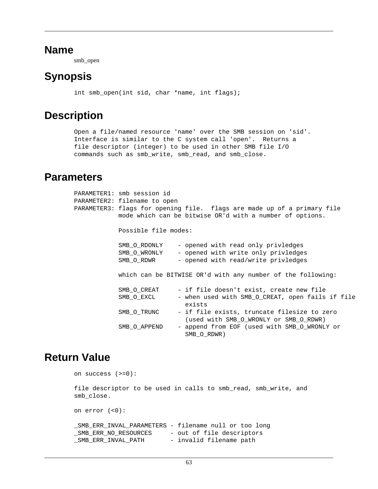smb\_open

## <span id="page-66-0"></span>**Synopsis**

int smb\_open(int sid, char \*name, int flags);

## **Description**

Open a file/named resource 'name' over the SMB session on 'sid'. Interface is similar to the C system call 'open'. Returns a file descriptor (integer) to be used in other SMB file I/O commands such as smb\_write, smb\_read, and smb\_close.

### **Parameters**

| PARAMETER1: smb session id<br>PARAMETER2: filename to open | PARAMETER3: flags for opening file.  flags are made up of a primary file<br>mode which can be bitwise OR'd with a number of options. |
|------------------------------------------------------------|--------------------------------------------------------------------------------------------------------------------------------------|
| Possible file modes:                                       |                                                                                                                                      |
| SMB O RDONLY<br>SMB O WRONLY<br>SMB O RDWR                 | - opened with read only privledges<br>- opened with write only privledges<br>- opened with read/write privledges                     |
|                                                            | which can be BITWISE OR'd with any number of the following:                                                                          |
| SMB O CREAT<br>SMB O EXCL                                  | - if file doesn't exist, create new file<br>- when used with SMB O CREAT, open fails if file<br>exists                               |
| SMB O TRUNC                                                | - if file exists, truncate filesize to zero<br>(used with SMB O WRONLY or SMB O RDWR)                                                |
| SMB O APPEND                                               | - append from EOF (used with SMB O WRONLY or<br>SMB O RDWR)                                                                          |

### **Return Value**

```
on success (>=0):
file descriptor to be used in calls to smb_read, smb_write, and
smb_close.
on error (<0):
_SMB_ERR_INVAL_PARAMETERS - filename null or too long
_SMB_ERR_NO_RESOURCES - out of file descriptors
_SMB_ERR_INVAL_PATH - invalid filename path
```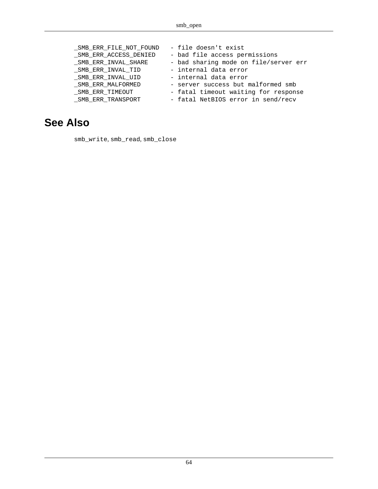| _SMB_ERR_FILE_NOT_FOUND | - file doesn't exist                  |
|-------------------------|---------------------------------------|
| _SMB_ERR_ACCESS_DENIED  | - bad file access permissions         |
| SMB ERR INVAL SHARE     | - bad sharing mode on file/server err |
| SMB ERR INVAL TID       | - internal data error                 |
| SMB ERR INVAL UID       | - internal data error                 |
| SMB ERR MALFORMED       | - server success but malformed smb    |
| SMB ERR TIMEOUT         | - fatal timeout waiting for response  |
| _SMB_ERR_TRANSPORT      | - fatal NetBIOS error in send/recv    |

### **See Also**

[smb\\_write](#page-98-0), [smb\\_read](#page-71-0), [smb\\_close](#page-31-0)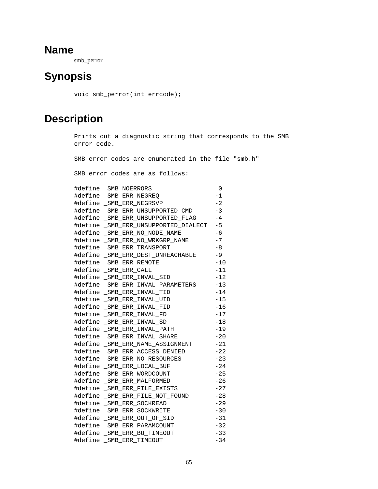smb\_perror

## **Synopsis**

void smb\_perror(int errcode);

## **Description**

```
Prints out a diagnostic string that corresponds to the SMB
error code.
SMB error codes are enumerated in the file "smb.h"
SMB error codes are as follows:
#define _SMB_NOERRORS 0
#define _SMB_ERR_NEGREQ -1
#define _SMB_ERR_NEGRSVP -2
#define _SMB_ERR_UNSUPPORTED_CMD -3
#define _SMB_ERR_UNSUPPORTED_FLAG -4
#define _SMB_ERR_UNSUPPORTED_DIALECT -5
#define SMB ERR_NO_NODE_NAME -6
#define _SMB_ERR_NO_WRKGRP_NAME -7
#define _SMB_ERR_TRANSPORT -8
#define _SMB_ERR_DEST_UNREACHABLE -9
#define SMB ERR REMOTE -10
#define SMB ERR CALL -11
#define _SMB_ERR_INVAL_SID -12
#define _SMB_ERR_INVAL_PARAMETERS -13
#define _SMB_ERR_INVAL_TID -14
#define SMB ERR INVAL UID -15
#define _SMB_ERR_INVAL_FID -16
#define SMB ERR INVAL FD -17
#define _SMB_ERR_INVAL_SD -18
#define _SMB_ERR_INVAL_PATH -19
#define _SMB_ERR_INVAL_SHARE -20
#define SMB ERR NAME ASSIGNMENT -21
#define SMB ERR ACCESS DENIED -22
#define _SMB_ERR_NO_RESOURCES -23
#define _SMB_ERR_LOCAL_BUF -24
#define _SMB_ERR_WORDCOUNT -25
#define SMB ERR MALFORMED -26
#define _SMB_ERR_FILE_EXISTS -27
#define SMB ERR FILE NOT FOUND -28
#define _SMB_ERR_SOCKREAD -29
#define _SMB_ERR_SOCKWRITE -30
#define _SMB_ERR_OUT_OF_SID -31
#define SMB ERR PARAMCOUNT -32
#define _SMB_ERR_BU_TIMEOUT -33
#define _SMB_ERR_TIMEOUT -34
```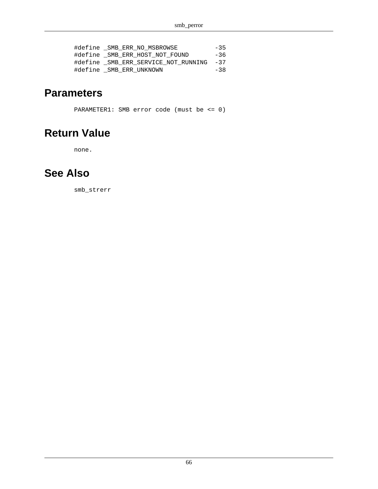| #define SMB ERR NO MSBROWSE             | $-35$ |
|-----------------------------------------|-------|
| #define SMB ERR HOST NOT FOUND          | $-36$ |
| #define SMB ERR SERVICE NOT RUNNING -37 |       |
| #define SMB ERR UNKNOWN                 | $-38$ |

### **Parameters**

PARAMETER1: SMB error code (must be <= 0)

### **Return Value**

none.

## **See Also**

[smb\\_strerr](#page-93-0)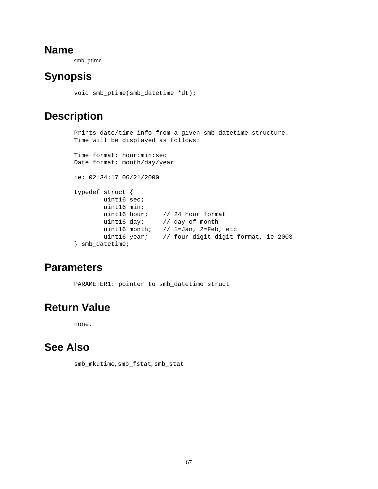smb\_ptime

# **Synopsis**

```
void smb_ptime(smb_datetime *dt);
```
# **Description**

```
Prints date/time info from a given smb_datetime structure.
Time will be displayed as follows:
Time format: hour:min:sec
Date format: month/day/year
ie: 02:34:17 06/21/2000
typedef struct {
        uint16 sec;
        uint16 min;
         uint16 hour; // 24 hour format
         uint16 day; // day of month
         uint16 month; // 1=Jan, 2=Feb, etc
         uint16 year; // four digit digit format, ie 2003
} smb_datetime;
```
# **Parameters**

PARAMETER1: pointer to smb\_datetime struct

# **Return Value**

none.

# **See Also**

[smb\\_mkutime](#page-65-0), [smb\\_fstat](#page-40-0), [smb\\_stat](#page-90-0)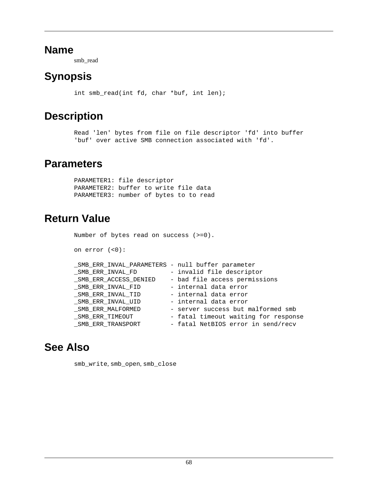smb\_read

# <span id="page-71-0"></span>**Synopsis**

int smb\_read(int fd, char \*buf, int len);

## **Description**

Read 'len' bytes from file on file descriptor 'fd' into buffer 'buf' over active SMB connection associated with 'fd'.

### **Parameters**

PARAMETER1: file descriptor PARAMETER2: buffer to write file data PARAMETER3: number of bytes to to read

## **Return Value**

Number of bytes read on success (>=0). on error (<0): \_SMB\_ERR\_INVAL\_PARAMETERS - null buffer parameter \_SMB\_ERR\_INVAL\_FD - invalid file descriptor \_SMB\_ERR\_ACCESS\_DENIED - bad file access permissions \_SMB\_ERR\_INVAL\_FID - internal data error \_SMB\_ERR\_INVAL\_TID - internal data error \_SMB\_ERR\_INVAL\_UID - internal data error \_SMB\_ERR\_MALFORMED - server success but malformed smb \_SMB\_ERR\_TIMEOUT - fatal timeout waiting for response SMB ERR TRANSPORT - fatal NetBIOS error in send/recv

## **See Also**

[smb\\_write](#page-98-0), [smb\\_open](#page-66-0), [smb\\_close](#page-31-0)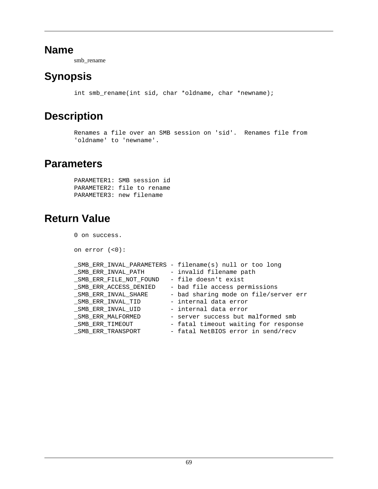smb\_rename

# **Synopsis**

int smb\_rename(int sid, char \*oldname, char \*newname);

### **Description**

Renames a file over an SMB session on 'sid'. Renames file from 'oldname' to 'newname'.

#### **Parameters**

PARAMETER1: SMB session id PARAMETER2: file to rename PARAMETER3: new filename

### **Return Value**

0 on success.

on error (<0):

|                        | _SMB_ERR_INVAL_PARAMETERS - filename(s) null or too long |
|------------------------|----------------------------------------------------------|
| SMB ERR INVAL PATH     | - invalid filename path                                  |
| SMB ERR FILE NOT FOUND | - file doesn't exist                                     |
| SMB ERR ACCESS DENIED  | - bad file access permissions                            |
| _SMB_ERR_INVAL_SHARE   | - bad sharing mode on file/server err                    |
| _SMB_ERR_INVAL_TID     | - internal data error                                    |
| SMB ERR INVAL UID      | - internal data error                                    |
| SMB ERR MALFORMED      | - server success but malformed smb                       |
| SMB ERR TIMEOUT        | - fatal timeout waiting for response                     |
| _SMB_ERR_TRANSPORT     | - fatal NetBIOS error in send/recv                       |
|                        |                                                          |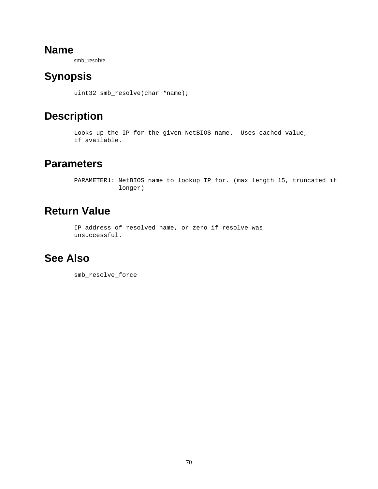smb\_resolve

# <span id="page-73-0"></span>**Synopsis**

uint32 smb\_resolve(char \*name);

# **Description**

Looks up the IP for the given NetBIOS name. Uses cached value, if available.

### **Parameters**

PARAMETER1: NetBIOS name to lookup IP for. (max length 15, truncated if longer)

# **Return Value**

IP address of resolved name, or zero if resolve was unsuccessful.

### **See Also**

[smb\\_resolve\\_force](#page-74-0)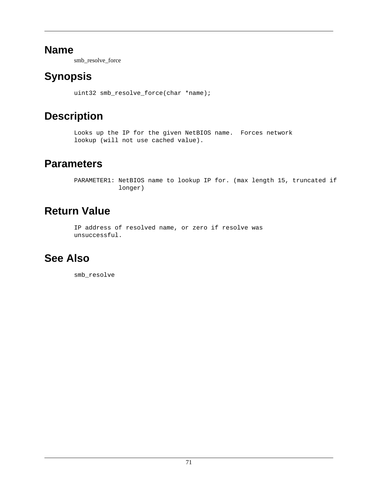smb\_resolve\_force

# <span id="page-74-0"></span>**Synopsis**

uint32 smb\_resolve\_force(char \*name);

# **Description**

Looks up the IP for the given NetBIOS name. Forces network lookup (will not use cached value).

### **Parameters**

PARAMETER1: NetBIOS name to lookup IP for. (max length 15, truncated if longer)

# **Return Value**

IP address of resolved name, or zero if resolve was unsuccessful.

# **See Also**

[smb\\_resolve](#page-73-0)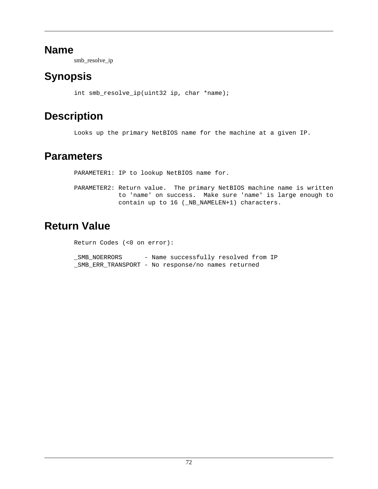smb\_resolve\_ip

# **Synopsis**

int smb\_resolve\_ip(uint32 ip, char \*name);

# **Description**

Looks up the primary NetBIOS name for the machine at a given IP.

### **Parameters**

PARAMETER1: IP to lookup NetBIOS name for.

PARAMETER2: Return value. The primary NetBIOS machine name is written to 'name' on success. Make sure 'name' is large enough to contain up to 16 (\_NB\_NAMELEN+1) characters.

# **Return Value**

Return Codes (<0 on error):

\_SMB\_NOERRORS - Name successfully resolved from IP \_SMB\_ERR\_TRANSPORT - No response/no names returned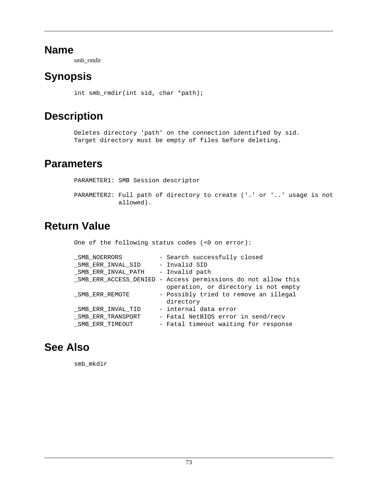smb\_rmdir

# **Synopsis**

int smb\_rmdir(int sid, char \*path);

### **Description**

Deletes directory 'path' on the connection identified by sid. Target directory must be empty of files before deleting.

### **Parameters**

PARAMETER1: SMB Session descriptor PARAMETER2: Full path of directory to create ('.' or '..' usage is not allowed).

# **Return Value**

One of the following status codes (<0 on error):

| SMB NOERRORS       | - Search successfully closed                                  |
|--------------------|---------------------------------------------------------------|
| SMB ERR INVAL SID  | - Invalid SID                                                 |
| SMB ERR INVAL PATH | - Invalid path                                                |
|                    | _SMB_ERR_ACCESS_DENIED - Access permissions do not allow this |
|                    | operation, or directory is not empty                          |
| SMB ERR REMOTE     | - Possibly tried to remove an illegal                         |
|                    | directory                                                     |
| SMB ERR INVAL TID  | - internal data error                                         |
| SMB ERR TRANSPORT  | - Fatal NetBIOS error in send/recv                            |
| SMB ERR TIMEOUT    | - Fatal timeout waiting for response                          |

### **See Also**

[smb\\_mkdir](#page-64-0)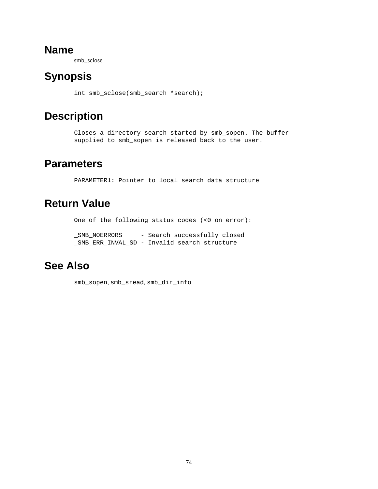smb\_sclose

# <span id="page-77-0"></span>**Synopsis**

int smb\_sclose(smb\_search \*search);

# **Description**

Closes a directory search started by smb\_sopen. The buffer supplied to smb\_sopen is released back to the user.

### **Parameters**

PARAMETER1: Pointer to local search data structure

### **Return Value**

One of the following status codes (<0 on error):

\_SMB\_NOERRORS - Search successfully closed \_SMB\_ERR\_INVAL\_SD - Invalid search structure

# **See Also**

[smb\\_sopen](#page-86-0), [smb\\_sread](#page-88-0), [smb\\_dir\\_info](#page-37-0)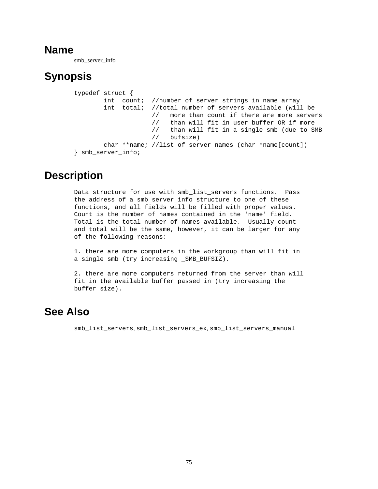smb\_server\_info

# **Synopsis**

```
typedef struct {
        int count; //number of server strings in name array
         int total; //total number of servers available (will be
                     // more than count if there are more servers
                      // than will fit in user buffer OR if more
                      // than will fit in a single smb (due to SMB
                     // bufsize)
        char **name; //list of server names (char *name[count])
} smb_server_info;
```
### **Description**

Data structure for use with smb\_list\_servers functions. Pass the address of a smb\_server\_info structure to one of these functions, and all fields will be filled with proper values. Count is the number of names contained in the 'name' field. Total is the total number of names available. Usually count and total will be the same, however, it can be larger for any of the following reasons:

1. there are more computers in the workgroup than will fit in a single smb (try increasing SMB BUFSIZ).

2. there are more computers returned from the server than will fit in the available buffer passed in (try increasing the buffer size).

### **See Also**

[smb\\_list\\_servers](#page-50-0), [smb\\_list\\_servers\\_ex](#page-52-0), [smb\\_list\\_servers\\_manual](#page-54-0)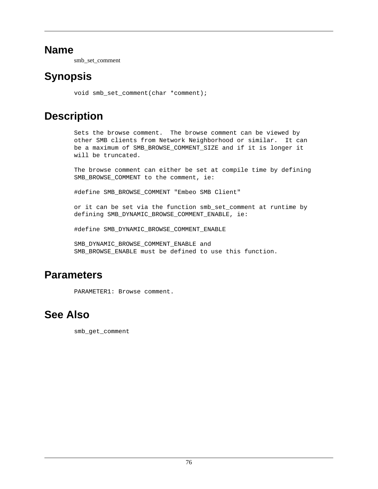smb\_set\_comment

### **Synopsis**

void smb\_set\_comment(char \*comment);

### **Description**

Sets the browse comment. The browse comment can be viewed by other SMB clients from Network Neighborhood or similar. It can be a maximum of SMB\_BROWSE\_COMMENT\_SIZE and if it is longer it will be truncated.

The browse comment can either be set at compile time by defining SMB BROWSE COMMENT to the comment, ie:

#define SMB\_BROWSE\_COMMENT "Embeo SMB Client"

or it can be set via the function smb\_set\_comment at runtime by defining SMB\_DYNAMIC\_BROWSE\_COMMENT\_ENABLE, ie:

#define SMB\_DYNAMIC\_BROWSE\_COMMENT\_ENABLE

SMB\_DYNAMIC\_BROWSE\_COMMENT\_ENABLE and SMB\_BROWSE\_ENABLE must be defined to use this function.

### **Parameters**

PARAMETER1: Browse comment.

### **See Also**

[smb\\_get\\_comment](#page-42-0)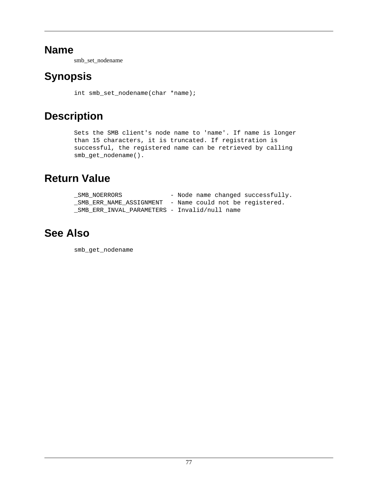smb\_set\_nodename

# **Synopsis**

int smb\_set\_nodename(char \*name);

# **Description**

Sets the SMB client's node name to 'name'. If name is longer than 15 characters, it is truncated. If registration is successful, the registered name can be retrieved by calling smb\_get\_nodename().

### **Return Value**

| SMB NOERRORS                                            |  |  | - Node name changed successfully. |
|---------------------------------------------------------|--|--|-----------------------------------|
| SMB ERR NAME ASSIGNMENT - Name could not be registered. |  |  |                                   |
| SMB ERR INVAL PARAMETERS - Invalid/null name            |  |  |                                   |

### **See Also**

[smb\\_get\\_nodename](#page-43-0)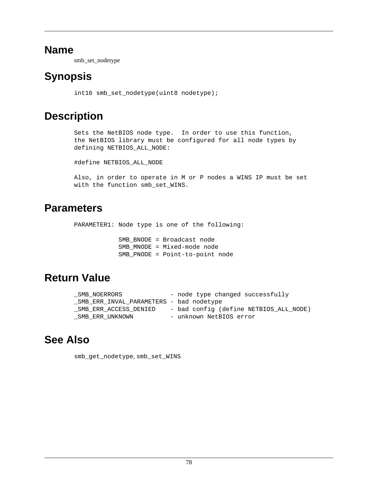smb\_set\_nodetype

# **Synopsis**

int16 smb\_set\_nodetype(uint8 nodetype);

# **Description**

Sets the NetBIOS node type. In order to use this function, the NetBIOS library must be configured for all node types by defining NETBIOS\_ALL\_NODE:

#define NETBIOS\_ALL\_NODE

Also, in order to operate in M or P nodes a WINS IP must be set with the function smb\_set\_WINS.

### **Parameters**

PARAMETER1: Node type is one of the following:

 SMB\_BNODE = Broadcast node SMB\_MNODE = Mixed-mode node SMB\_PNODE = Point-to-point node

### **Return Value**

| SMB NOERRORS                            | - node type changed successfully       |
|-----------------------------------------|----------------------------------------|
| SMB ERR INVAL PARAMETERS - bad nodetype |                                        |
| SMB ERR ACCESS DENIED                   | - bad config (define NETBIOS_ALL NODE) |
| SMB ERR UNKNOWN                         | - unknown NetBIOS error                |

# **See Also**

[smb\\_get\\_nodetype](#page-44-0), [smb\\_set\\_WINS](#page-83-0)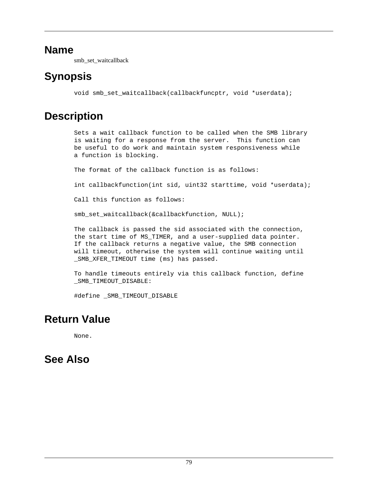smb\_set\_waitcallback

# **Synopsis**

void smb set waitcallback(callbackfuncptr, void \*userdata);

# **Description**

Sets a wait callback function to be called when the SMB library is waiting for a response from the server. This function can be useful to do work and maintain system responsiveness while a function is blocking.

The format of the callback function is as follows:

int callbackfunction(int sid, uint32 starttime, void \*userdata);

Call this function as follows:

smb\_set\_waitcallback(&callbackfunction, NULL);

The callback is passed the sid associated with the connection, the start time of MS\_TIMER, and a user-supplied data pointer. If the callback returns a negative value, the SMB connection will timeout, otherwise the system will continue waiting until SMB XFER TIMEOUT time (ms) has passed.

To handle timeouts entirely via this callback function, define \_SMB\_TIMEOUT\_DISABLE:

#define \_SMB\_TIMEOUT\_DISABLE

### **Return Value**

None.

### **See Also**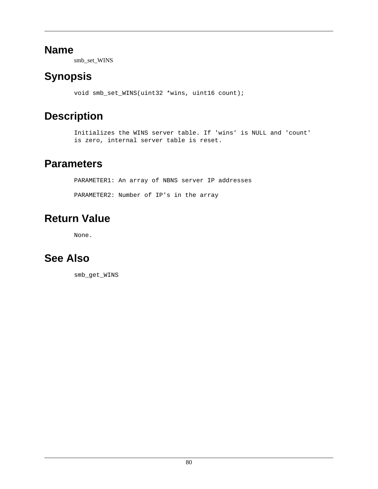smb\_set\_WINS

# <span id="page-83-0"></span>**Synopsis**

void smb\_set\_WINS(uint32 \*wins, uint16 count);

# **Description**

Initializes the WINS server table. If 'wins' is NULL and 'count' is zero, internal server table is reset.

### **Parameters**

PARAMETER1: An array of NBNS server IP addresses PARAMETER2: Number of IP's in the array

# **Return Value**

None.

# **See Also**

[smb\\_get\\_WINS](#page-45-0)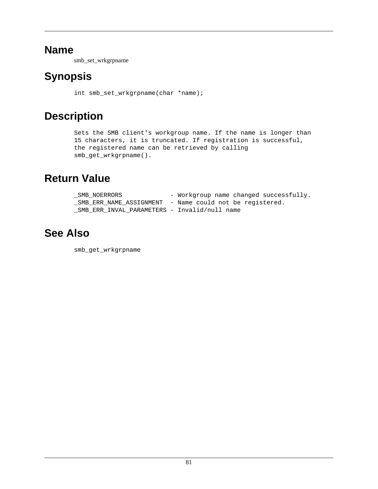smb\_set\_wrkgrpname

# **Synopsis**

int smb\_set\_wrkgrpname(char \*name);

# **Description**

Sets the SMB client's workgroup name. If the name is longer than 15 characters, it is truncated. If registration is successful, the registered name can be retrieved by calling smb\_get\_wrkgrpname().

### **Return Value**

| SMB NOERRORS                                 | - Workgroup name changed successfully.                  |
|----------------------------------------------|---------------------------------------------------------|
|                                              | SMB ERR NAME ASSIGNMENT - Name could not be registered. |
| SMB ERR INVAL PARAMETERS - Invalid/null name |                                                         |

### **See Also**

[smb\\_get\\_wrkgrpname](#page-46-0)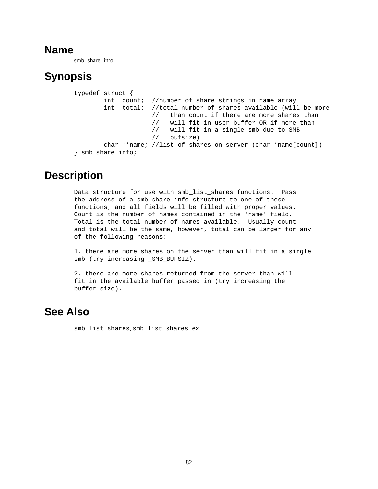smb\_share\_info

# **Synopsis**

```
typedef struct {
        int count; //number of share strings in name array
        int total; //total number of shares available (will be more
                     // than count if there are more shares than
                      // will fit in user buffer OR if more than
                      // will fit in a single smb due to SMB
                      // bufsize)
        char **name; //list of shares on server (char *name[count])
} smb_share_info;
```
### **Description**

Data structure for use with smb\_list\_shares functions. Pass the address of a smb\_share\_info structure to one of these functions, and all fields will be filled with proper values. Count is the number of names contained in the 'name' field. Total is the total number of names available. Usually count and total will be the same, however, total can be larger for any of the following reasons:

1. there are more shares on the server than will fit in a single smb (try increasing SMB BUFSIZ).

2. there are more shares returned from the server than will fit in the available buffer passed in (try increasing the buffer size).

### **See Also**

[smb\\_list\\_shares](#page-56-0), [smb\\_list\\_shares\\_ex](#page-58-0)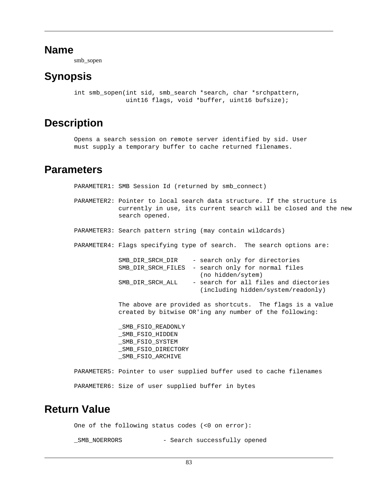smb\_sopen

### <span id="page-86-0"></span>**Synopsis**

int smb sopen(int sid, smb search \*search, char \*srchpattern, uint16 flags, void \*buffer, uint16 bufsize);

#### **Description**

Opens a search session on remote server identified by sid. User must supply a temporary buffer to cache returned filenames.

#### **Parameters**

PARAMETER1: SMB Session Id (returned by smb\_connect)

- PARAMETER2: Pointer to local search data structure. If the structure is currently in use, its current search will be closed and the new search opened.
- PARAMETER3: Search pattern string (may contain wildcards)
- PARAMETER4: Flags specifying type of search. The search options are:

| SMB DIR SRCH DIR | - search only for directories                     |
|------------------|---------------------------------------------------|
|                  | SMB DIR SRCH FILES - search only for normal files |
|                  | (no hidden/sytem)                                 |
| SMB DIR SRCH ALL | - search for all files and diectories             |
|                  | (including hidden/system/readonly)                |

 The above are provided as shortcuts. The flags is a value created by bitwise OR'ing any number of the following:

SMB\_FSIO\_READONLY SMB\_FSIO\_HIDDEN \_SMB\_FSIO\_SYSTEM \_SMB\_FSIO\_DIRECTORY \_SMB\_FSIO\_ARCHIVE

PARAMETER5: Pointer to user supplied buffer used to cache filenames PARAMETER6: Size of user supplied buffer in bytes

#### **Return Value**

One of the following status codes (<0 on error):

\_SMB\_NOERRORS - Search successfully opened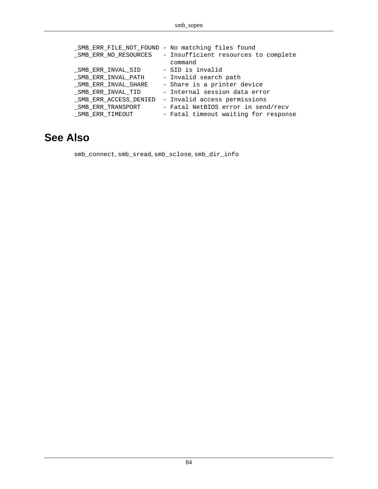|                       | _SMB_ERR_FILE_NOT_FOUND - No matching files found |
|-----------------------|---------------------------------------------------|
| SMB ERR NO RESOURCES  | - Insufficient resources to complete              |
|                       | command                                           |
| SMB ERR INVAL SID     | - SID is invalid                                  |
| SMB ERR INVAL PATH    | - Invalid search path                             |
| _SMB_ERR_INVAL_SHARE  | - Share is a printer device                       |
| SMB ERR INVAL TID     | - Internal session data error                     |
| SMB ERR ACCESS DENIED | - Invalid access permissions                      |
| SMB ERR TRANSPORT     | - Fatal NetBIOS error in send/recv                |
| SMB ERR TIMEOUT       | - Fatal timeout waiting for response              |

### **See Also**

[smb\\_connect](#page-32-0), [smb\\_sread](#page-88-0), [smb\\_sclose](#page-77-0), [smb\\_dir\\_info](#page-37-0)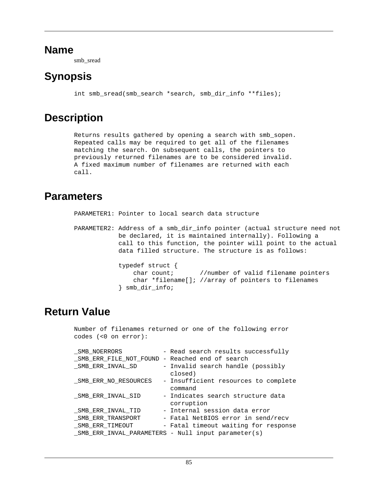smb\_sread

# <span id="page-88-0"></span>**Synopsis**

int smb\_sread(smb\_search \*search, smb\_dir\_info \*\*files);

### **Description**

Returns results gathered by opening a search with smb\_sopen. Repeated calls may be required to get all of the filenames matching the search. On subsequent calls, the pointers to previously returned filenames are to be considered invalid. A fixed maximum number of filenames are returned with each call.

#### **Parameters**

PARAMETER1: Pointer to local search data structure

PARAMETER2: Address of a smb\_dir\_info pointer (actual structure need not be declared, it is maintained internally). Following a call to this function, the pointer will point to the actual data filled structure. The structure is as follows: typedef struct { char count; //number of valid filename pointers char \*filename[]; //array of pointers to filenames } smb\_dir\_info;

### **Return Value**

Number of filenames returned or one of the following error codes (<0 on error):

| SMB NOERRORS                                    | - Read search results successfully                 |
|-------------------------------------------------|----------------------------------------------------|
| _SMB_ERR_FILE_NOT_FOUND - Reached end of search |                                                    |
| SMB ERR INVAL SD                                | - Invalid search handle (possibly                  |
|                                                 | closed)                                            |
| SMB ERR NO RESOURCES                            | - Insufficient resources to complete               |
|                                                 | command                                            |
| SMB ERR INVAL SID                               | - Indicates search structure data                  |
|                                                 | corruption                                         |
| SMB ERR INVAL TID                               | - Internal session data error                      |
| SMB ERR TRANSPORT                               | - Fatal NetBIOS error in send/recv                 |
| SMB ERR TIMEOUT                                 | - Fatal timeout waiting for response               |
|                                                 | SMB ERR INVAL PARAMETERS - Null input parameter(s) |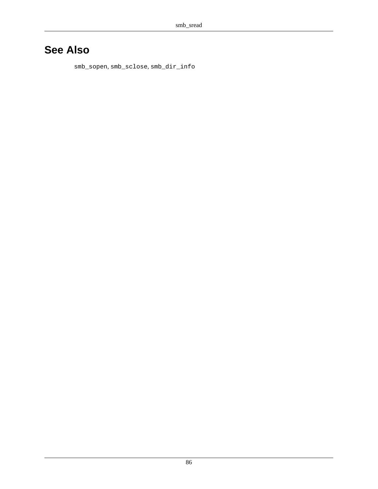### **See Also**

[smb\\_sopen](#page-86-0), [smb\\_sclose](#page-77-0), [smb\\_dir\\_info](#page-37-0)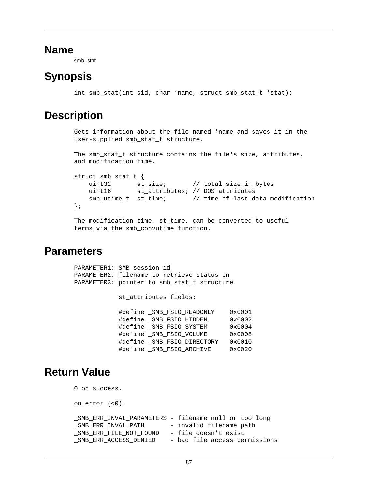smb\_stat

### <span id="page-90-0"></span>**Synopsis**

int smb stat(int sid, char \*name, struct smb stat t \*stat);

### **Description**

Gets information about the file named \*name and saves it in the user-supplied smb\_stat\_t structure.

```
The smb_stat_t structure contains the file's size, attributes,
and modification time.
```

```
struct smb_stat_t {
    uint32 st_size; // total size in bytes
    uint16 st_attributes; // DOS attributes
    smb_utime_t st_time; // time of last data modification
};
The modification time, st_time, can be converted to useful
```

```
Parameters
```

| PARAMETER1: SMB session id |                          | PARAMETER2: filename to retrieve status on<br>PARAMETER3: pointer to smb_stat_t structure |                 |
|----------------------------|--------------------------|-------------------------------------------------------------------------------------------|-----------------|
|                            | st attributes fields:    |                                                                                           |                 |
|                            |                          | #define SMB FSIO READONLY                                                                 | $0 \times 0001$ |
|                            | #define SMB FSIO HIDDEN  |                                                                                           | $0 \times 0002$ |
|                            | #define SMB FSIO SYSTEM  |                                                                                           | $0 \times 0004$ |
|                            | #define SMB FSIO VOLUME  |                                                                                           | $0 \times 0008$ |
|                            |                          | #define SMB FSIO DIRECTORY                                                                | 0x0010          |
|                            | #define SMB FSIO ARCHIVE |                                                                                           | 0x0020          |
|                            |                          |                                                                                           |                 |

terms via the smb\_convutime function.

### **Return Value**

```
0 on success.
on error (<0):
_SMB_ERR_INVAL_PARAMETERS - filename null or too long
SMB ERR INVAL PATH - invalid filename path
_SMB_ERR_FILE_NOT_FOUND - file doesn't exist
_SMB_ERR_ACCESS_DENIED - bad file access permissions
```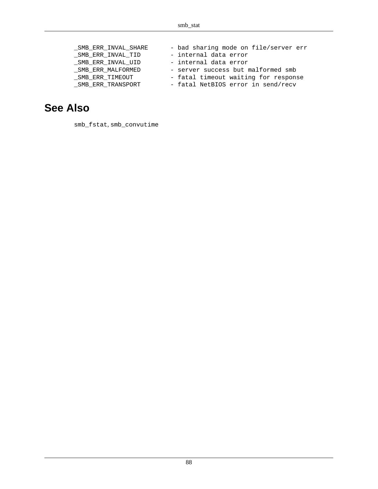| SMB ERR INVAL SHARE | - bad sharing mode on file/server err |
|---------------------|---------------------------------------|
| SMB ERR INVAL TID   | - internal data error                 |
| SMB ERR INVAL UID   | - internal data error                 |
| SMB ERR MALFORMED   | - server success but malformed smb    |
| SMB ERR TIMEOUT     | - fatal timeout waiting for response  |
| SMB ERR TRANSPORT   | - fatal NetBIOS error in send/recv    |

### **See Also**

[smb\\_fstat](#page-40-0), [smb\\_convutime](#page-34-0)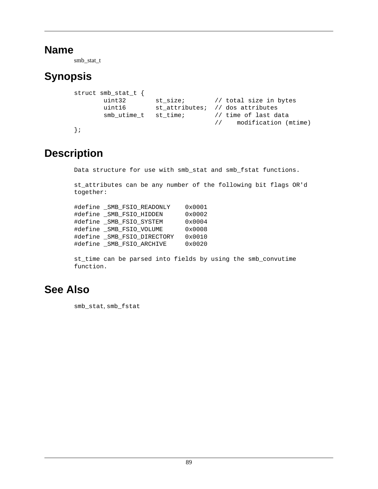smb\_stat\_t

# **Synopsis**

```
struct smb_stat_t {
       uint32 st_size; // total size in bytes
       uint16 st_attributes; // dos attributes
       smb_utime_t st_time; // time of last data
                                 // modification (mtime)
};
```
# **Description**

Data structure for use with smb\_stat and smb\_fstat functions.

st\_attributes can be any number of the following bit flags OR'd together:

| #define SMB FSIO READONLY  | 0x0001 |
|----------------------------|--------|
| #define SMB FSIO HIDDEN    | 0x0002 |
| #define SMB FSIO SYSTEM    | 0x0004 |
| #define SMB FSIO VOLUME    | 0x0008 |
| #define SMB FSIO DIRECTORY | 0x0010 |
| #define SMB FSIO ARCHIVE   | 0x0020 |

st\_time can be parsed into fields by using the smb\_convutime function.

### **See Also**

[smb\\_stat](#page-90-0), [smb\\_fstat](#page-40-0)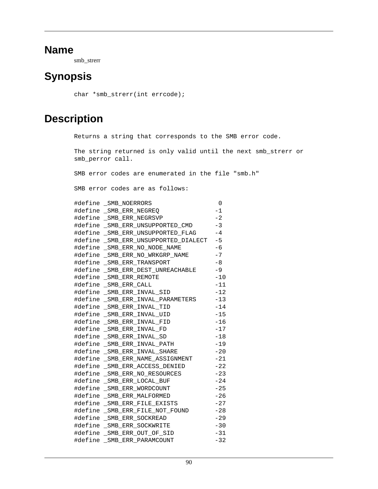smb\_strerr

### **Synopsis**

```
char *smb_strerr(int errcode);
```
### **Description**

Returns a string that corresponds to the SMB error code.

The string returned is only valid until the next smb\_strerr or smb\_perror call.

SMB error codes are enumerated in the file "smb.h"

SMB error codes are as follows:

| #define _SMB_NOERRORS                   | $\Omega$ |
|-----------------------------------------|----------|
| #define _SMB_ERR_NEGREQ                 | $-1$     |
| #define SMB ERR NEGRSVP                 | $-2$     |
| #define SMB ERR UNSUPPORTED CMD         | $-3$     |
| #define _SMB_ERR_UNSUPPORTED_FLAG       | $-4$     |
| #define _SMB_ERR_UNSUPPORTED_DIALECT -5 |          |
| #define SMB ERR NO NODE NAME            | $-6$     |
| #define SMB ERR NO WRKGRP NAME          | $-7$     |
| #define _SMB_ERR_TRANSPORT              | $-8$     |
| #define _SMB_ERR_DEST_UNREACHABLE -9    |          |
| #define _SMB_ERR_REMOTE                 | $-10$    |
| #define _SMB_ERR_CALL                   | $-11$    |
| #define _SMB_ERR_INVAL_SID              | $-12$    |
| #define SMB ERR INVAL PARAMETERS        | $-13$    |
| #define SMB ERR INVAL TID               | $-14$    |
| #define _SMB_ERR_INVAL_UID              | $-15$    |
| #define SMB ERR INVAL FID               | $-16$    |
| #define _SMB_ERR_INVAL_FD               | $-17$    |
| #define _SMB_ERR_INVAL_SD               | $-18$    |
| #define _SMB_ERR_INVAL_PATH             | $-19$    |
| #define SMB ERR INVAL SHARE             | $-20$    |
| #define _SMB_ERR_NAME_ASSIGNMENT        | $-21$    |
| #define _SMB_ERR_ACCESS_DENIED          | $-22$    |
| #define SMB ERR NO RESOURCES            | $-23$    |
| #define _SMB_ERR_LOCAL_BUF              | $-24$    |
| #define _SMB_ERR_WORDCOUNT              | $-25$    |
| #define _SMB_ERR_MALFORMED              | $-26$    |
| #define _SMB_ERR_FILE_EXISTS            | $-27$    |
| #define _SMB_ERR_FILE_NOT_FOUND         | $-28$    |
| #define _SMB_ERR_SOCKREAD               | $-29$    |
| #define _SMB_ERR_SOCKWRITE              | $-30$    |
| #define _SMB_ERR_OUT_OF_SID             | $-31$    |
| #define SMB ERR PARAMCOUNT              | $-32$    |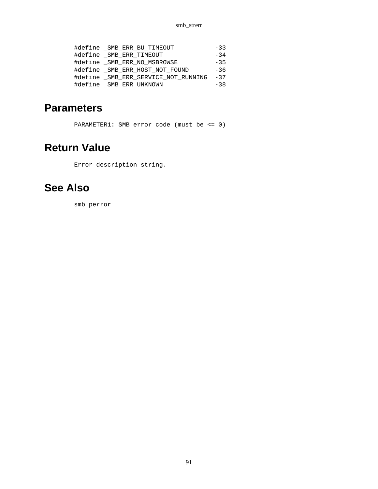| #define _SMB_ERR_BU_TIMEOUT         | $-33$ |
|-------------------------------------|-------|
| #define _SMB_ERR_TIMEOUT            | $-34$ |
| #define SMB ERR NO MSBROWSE         | $-35$ |
| #define SMB ERR HOST NOT FOUND      | $-36$ |
| #define SMB ERR SERVICE NOT RUNNING | $-37$ |
| #define SMB ERR UNKNOWN             | $-38$ |

### **Parameters**

PARAMETER1: SMB error code (must be <= 0)

### **Return Value**

Error description string.

### **See Also**

[smb\\_perror](#page-68-0)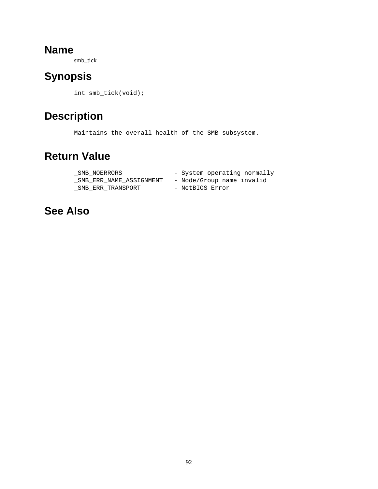smb\_tick

# **Synopsis**

int smb\_tick(void);

# **Description**

Maintains the overall health of the SMB subsystem.

# **Return Value**

| SMB NOERRORS            | - System operating normally |
|-------------------------|-----------------------------|
| SMB ERR NAME ASSIGNMENT | - Node/Group name invalid   |
| SMB ERR TRANSPORT       | - NetBIOS Error             |

### **See Also**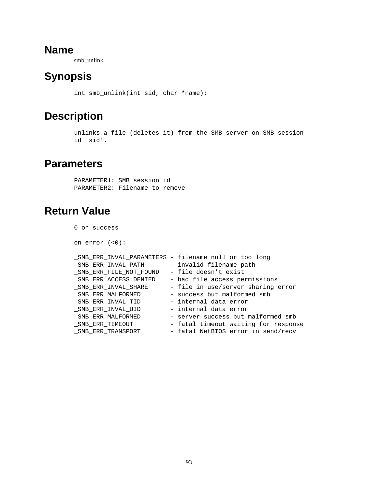smb\_unlink

# **Synopsis**

int smb\_unlink(int sid, char \*name);

### **Description**

```
unlinks a file (deletes it) from the SMB server on SMB session
id 'sid'.
```
### **Parameters**

PARAMETER1: SMB session id PARAMETER2: Filename to remove

# **Return Value**

0 on success

on error (<0):

|                        | _SMB_ERR_INVAL_PARAMETERS - filename null or too long |
|------------------------|-------------------------------------------------------|
| SMB ERR INVAL PATH     | - invalid filename path                               |
| SMB ERR FILE NOT FOUND | - file doesn't exist                                  |
| SMB ERR ACCESS DENIED  | - bad file access permissions                         |
| SMB ERR INVAL SHARE    | - file in use/server sharing error                    |
| SMB ERR MALFORMED      | - success but malformed smb                           |
| SMB ERR INVAL TID      | - internal data error                                 |
| SMB ERR INVAL UID      | - internal data error                                 |
| SMB ERR MALFORMED      | - server success but malformed smb                    |
| SMB ERR TIMEOUT        | - fatal timeout waiting for response                  |
| _SMB_ERR_TRANSPORT     | - fatal NetBIOS error in send/recv                    |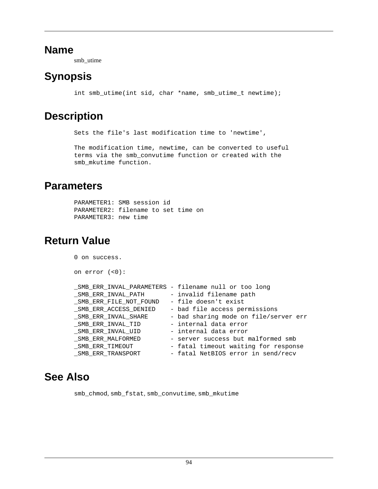smb\_utime

# **Synopsis**

int smb\_utime(int sid, char \*name, smb\_utime\_t newtime);

### **Description**

Sets the file's last modification time to 'newtime',

The modification time, newtime, can be converted to useful terms via the smb\_convutime function or created with the smb\_mkutime function.

#### **Parameters**

```
PARAMETER1: SMB session id
PARAMETER2: filename to set time on
PARAMETER3: new time
```
### **Return Value**

| 0 on success.          |                                                      |
|------------------------|------------------------------------------------------|
| on $error$ $(<0)$ :    |                                                      |
|                        | SMB ERR INVAL PARAMETERS - filename null or too long |
| SMB ERR INVAL PATH     | - invalid filename path                              |
| SMB ERR FILE NOT FOUND | - file doesn't exist                                 |
| SMB ERR ACCESS DENIED  | - bad file access permissions                        |
| SMB ERR INVAL SHARE    | - bad sharing mode on file/server err                |
| SMB ERR INVAL TID      | - internal data error                                |
| SMB ERR INVAL UID      | - internal data error                                |
| SMB ERR MALFORMED      | - server success but malformed smb                   |
| SMB ERR TIMEOUT        | - fatal timeout waiting for response                 |
| SMB ERR TRANSPORT      | - fatal NetBIOS error in send/recv                   |

### **See Also**

[smb\\_chmod](#page-29-0), [smb\\_fstat](#page-40-0), [smb\\_convutime](#page-34-0), [smb\\_mkutime](#page-65-0)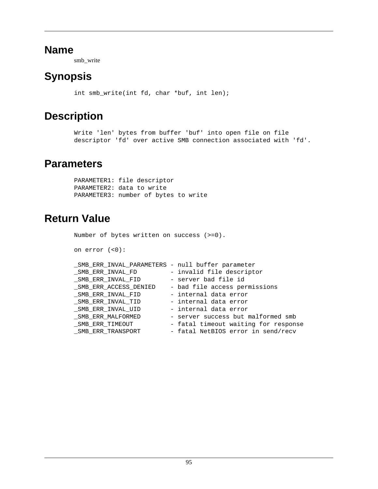smb\_write

# **Synopsis**

int smb\_write(int fd, char \*buf, int len);

### **Description**

```
Write 'len' bytes from buffer 'buf' into open file on file
descriptor 'fd' over active SMB connection associated with 'fd'.
```
#### **Parameters**

PARAMETER1: file descriptor PARAMETER2: data to write PARAMETER3: number of bytes to write

### **Return Value**

```
Number of bytes written on success (>=0).
on error (<0):
_SMB_ERR_INVAL_PARAMETERS - null buffer parameter
_SMB_ERR_INVAL_FD - invalid file descriptor
_SMB_ERR_INVAL_FID - server bad file id
_SMB_ERR_ACCESS_DENIED - bad file access permissions
_SMB_ERR_INVAL_FID - internal data error
_SMB_ERR_INVAL_TID - internal data error
_SMB_ERR_INVAL_UID - internal data error
_SMB_ERR_MALFORMED - server success but malformed smb
SMB_ERR_TIMEOUT - fatal timeout waiting for response
_SMB_ERR_TRANSPORT - fatal NetBIOS error in send/recv
```